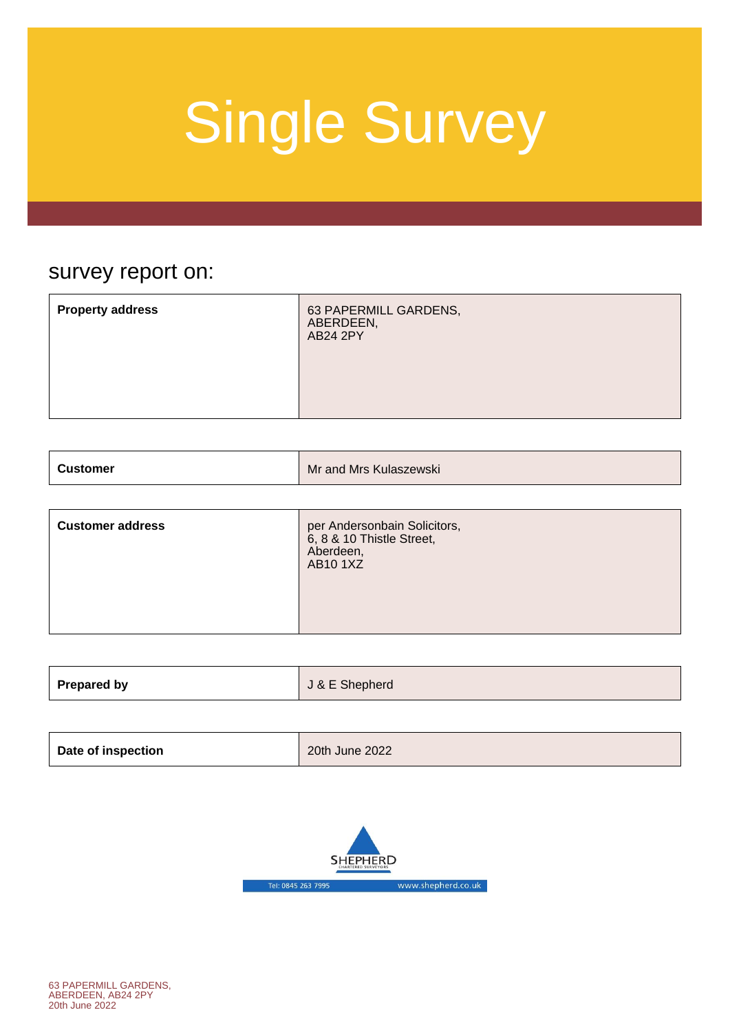### survey report on:

|--|

| Mr and Mrs Kulaszewski<br><b>Customer</b> |
|-------------------------------------------|
|-------------------------------------------|

| <b>Customer address</b> | per Andersonbain Solicitors,<br>6, 8 & 10 Thistle Street,<br>Aberdeen,<br><b>AB101XZ</b> |
|-------------------------|------------------------------------------------------------------------------------------|
|-------------------------|------------------------------------------------------------------------------------------|

| <b>Prepared by</b> | J & E Shepherd |
|--------------------|----------------|
|                    |                |

| Date of inspection | 20th June 2022 |
|--------------------|----------------|
|                    |                |

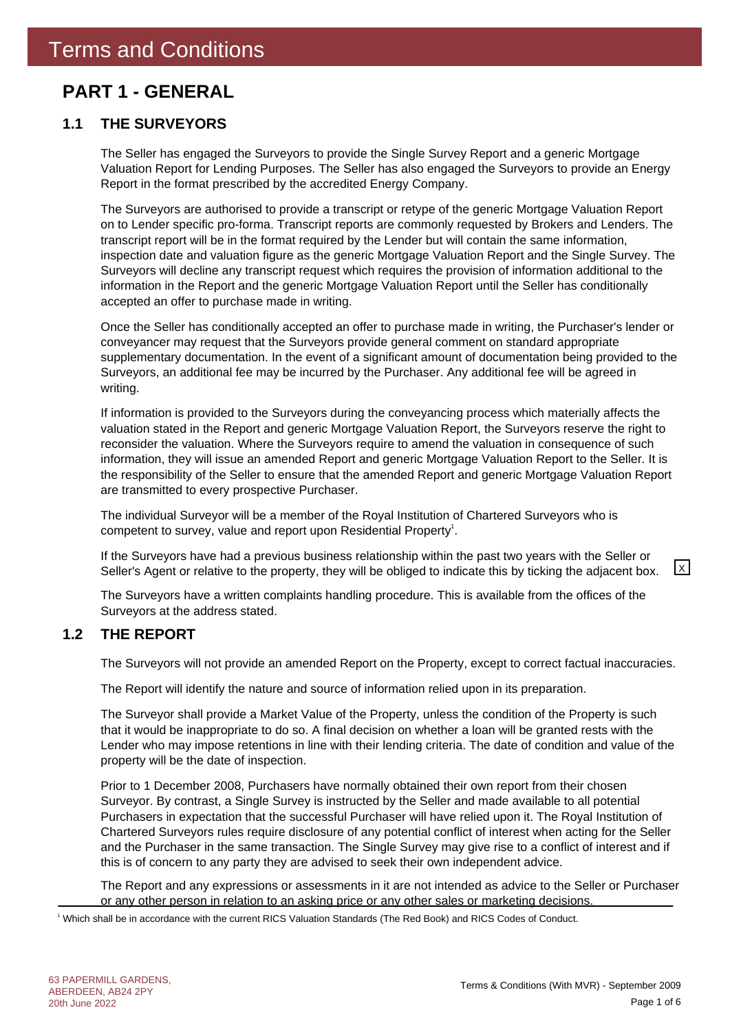### **PART 1 - GENERAL**

### **1.1 THE SURVEYORS**

The Seller has engaged the Surveyors to provide the Single Survey Report and a generic Mortgage Valuation Report for Lending Purposes. The Seller has also engaged the Surveyors to provide an Energy Report in the format prescribed by the accredited Energy Company.

The Surveyors are authorised to provide a transcript or retype of the generic Mortgage Valuation Report on to Lender specific pro-forma. Transcript reports are commonly requested by Brokers and Lenders. The transcript report will be in the format required by the Lender but will contain the same information, inspection date and valuation figure as the generic Mortgage Valuation Report and the Single Survey. The Surveyors will decline any transcript request which requires the provision of information additional to the information in the Report and the generic Mortgage Valuation Report until the Seller has conditionally accepted an offer to purchase made in writing.

Once the Seller has conditionally accepted an offer to purchase made in writing, the Purchaser's lender or conveyancer may request that the Surveyors provide general comment on standard appropriate supplementary documentation. In the event of a significant amount of documentation being provided to the Surveyors, an additional fee may be incurred by the Purchaser. Any additional fee will be agreed in writing.

If information is provided to the Surveyors during the conveyancing process which materially affects the valuation stated in the Report and generic Mortgage Valuation Report, the Surveyors reserve the right to reconsider the valuation. Where the Surveyors require to amend the valuation in consequence of such information, they will issue an amended Report and generic Mortgage Valuation Report to the Seller. It is the responsibility of the Seller to ensure that the amended Report and generic Mortgage Valuation Report are transmitted to every prospective Purchaser.

The individual Surveyor will be a member of the Royal Institution of Chartered Surveyors who is competent to survey, value and report upon Residential Property<sup>1</sup>.

If the Surveyors have had a previous business relationship within the past two years with the Seller or Seller's Agent or relative to the property, they will be obliged to indicate this by ticking the adjacent box.  $\boxed{\times}$ 

The Surveyors have a written complaints handling procedure. This is available from the offices of the Surveyors at the address stated.

### **1.2 THE REPORT**

The Surveyors will not provide an amended Report on the Property, except to correct factual inaccuracies.

The Report will identify the nature and source of information relied upon in its preparation.

The Surveyor shall provide a Market Value of the Property, unless the condition of the Property is such that it would be inappropriate to do so. A final decision on whether a loan will be granted rests with the Lender who may impose retentions in line with their lending criteria. The date of condition and value of the property will be the date of inspection.

Prior to 1 December 2008, Purchasers have normally obtained their own report from their chosen Surveyor. By contrast, a Single Survey is instructed by the Seller and made available to all potential Purchasers in expectation that the successful Purchaser will have relied upon it. The Royal Institution of Chartered Surveyors rules require disclosure of any potential conflict of interest when acting for the Seller and the Purchaser in the same transaction. The Single Survey may give rise to a conflict of interest and if this is of concern to any party they are advised to seek their own independent advice.

The Report and any expressions or assessments in it are not intended as advice to the Seller or Purchaser or any other person in relation to an asking price or any other sales or marketing decisions.

1 Which shall be in accordance with the current RICS Valuation Standards (The Red Book) and RICS Codes of Conduct.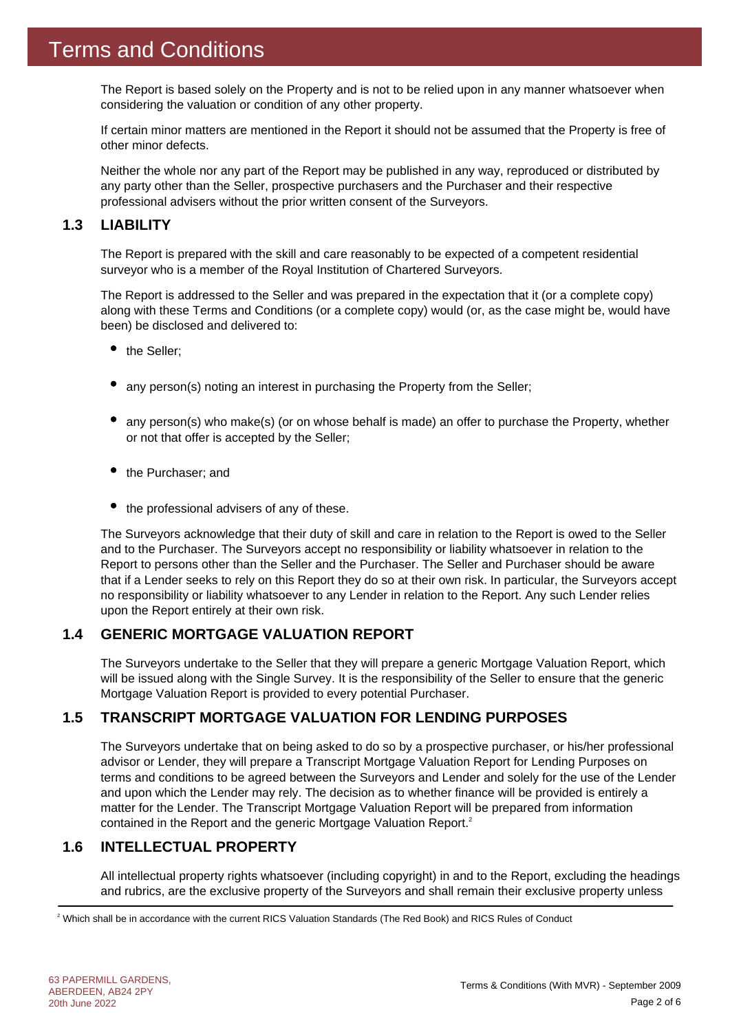The Report is based solely on the Property and is not to be relied upon in any manner whatsoever when considering the valuation or condition of any other property.

If certain minor matters are mentioned in the Report it should not be assumed that the Property is free of other minor defects.

Neither the whole nor any part of the Report may be published in any way, reproduced or distributed by any party other than the Seller, prospective purchasers and the Purchaser and their respective professional advisers without the prior written consent of the Surveyors.

### **1.3 LIABILITY**

The Report is prepared with the skill and care reasonably to be expected of a competent residential surveyor who is a member of the Royal Institution of Chartered Surveyors.

The Report is addressed to the Seller and was prepared in the expectation that it (or a complete copy) along with these Terms and Conditions (or a complete copy) would (or, as the case might be, would have been) be disclosed and delivered to:

- the Seller:
- any person(s) noting an interest in purchasing the Property from the Seller;
- any person(s) who make(s) (or on whose behalf is made) an offer to purchase the Property, whether or not that offer is accepted by the Seller;
- the Purchaser; and
- $\bullet$  the professional advisers of any of these.

The Surveyors acknowledge that their duty of skill and care in relation to the Report is owed to the Seller and to the Purchaser. The Surveyors accept no responsibility or liability whatsoever in relation to the Report to persons other than the Seller and the Purchaser. The Seller and Purchaser should be aware that if a Lender seeks to rely on this Report they do so at their own risk. In particular, the Surveyors accept no responsibility or liability whatsoever to any Lender in relation to the Report. Any such Lender relies upon the Report entirely at their own risk.

### **1.4 GENERIC MORTGAGE VALUATION REPORT**

The Surveyors undertake to the Seller that they will prepare a generic Mortgage Valuation Report, which will be issued along with the Single Survey. It is the responsibility of the Seller to ensure that the generic Mortgage Valuation Report is provided to every potential Purchaser.

### **1.5 TRANSCRIPT MORTGAGE VALUATION FOR LENDING PURPOSES**

The Surveyors undertake that on being asked to do so by a prospective purchaser, or his/her professional advisor or Lender, they will prepare a Transcript Mortgage Valuation Report for Lending Purposes on terms and conditions to be agreed between the Surveyors and Lender and solely for the use of the Lender and upon which the Lender may rely. The decision as to whether finance will be provided is entirely a matter for the Lender. The Transcript Mortgage Valuation Report will be prepared from information contained in the Report and the generic Mortgage Valuation Report.<sup>2</sup>

### **1.6 INTELLECTUAL PROPERTY**

All intellectual property rights whatsoever (including copyright) in and to the Report, excluding the headings and rubrics, are the exclusive property of the Surveyors and shall remain their exclusive property unless

2 Which shall be in accordance with the current RICS Valuation Standards (The Red Book) and RICS Rules of Conduct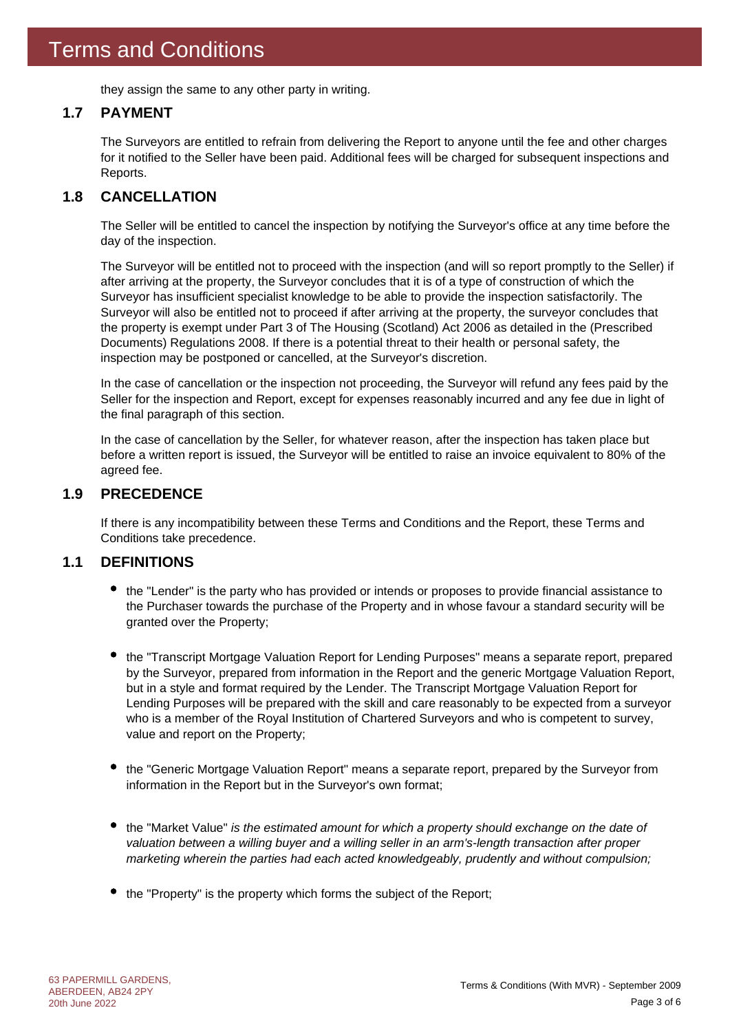they assign the same to any other party in writing.

### **1.7 PAYMENT**

The Surveyors are entitled to refrain from delivering the Report to anyone until the fee and other charges for it notified to the Seller have been paid. Additional fees will be charged for subsequent inspections and Reports.

### **1.8 CANCELLATION**

The Seller will be entitled to cancel the inspection by notifying the Surveyor's office at any time before the day of the inspection.

The Surveyor will be entitled not to proceed with the inspection (and will so report promptly to the Seller) if after arriving at the property, the Surveyor concludes that it is of a type of construction of which the Surveyor has insufficient specialist knowledge to be able to provide the inspection satisfactorily. The Surveyor will also be entitled not to proceed if after arriving at the property, the surveyor concludes that the property is exempt under Part 3 of The Housing (Scotland) Act 2006 as detailed in the (Prescribed Documents) Regulations 2008. If there is a potential threat to their health or personal safety, the inspection may be postponed or cancelled, at the Surveyor's discretion.

In the case of cancellation or the inspection not proceeding, the Surveyor will refund any fees paid by the Seller for the inspection and Report, except for expenses reasonably incurred and any fee due in light of the final paragraph of this section.

In the case of cancellation by the Seller, for whatever reason, after the inspection has taken place but before a written report is issued, the Surveyor will be entitled to raise an invoice equivalent to 80% of the agreed fee.

### **1.9 PRECEDENCE**

If there is any incompatibility between these Terms and Conditions and the Report, these Terms and Conditions take precedence.

### **1.1 DEFINITIONS**

- the "Lender" is the party who has provided or intends or proposes to provide financial assistance to the Purchaser towards the purchase of the Property and in whose favour a standard security will be granted over the Property;
- the "Transcript Mortgage Valuation Report for Lending Purposes" means a separate report, prepared by the Surveyor, prepared from information in the Report and the generic Mortgage Valuation Report, but in a style and format required by the Lender. The Transcript Mortgage Valuation Report for Lending Purposes will be prepared with the skill and care reasonably to be expected from a surveyor who is a member of the Royal Institution of Chartered Surveyors and who is competent to survey, value and report on the Property;
- the "Generic Mortgage Valuation Report" means a separate report, prepared by the Surveyor from information in the Report but in the Surveyor's own format;
- the "Market Value" *is the estimated amount for which a property should exchange on the date of valuation between a willing buyer and a willing seller in an arm's-length transaction after proper marketing wherein the parties had each acted knowledgeably, prudently and without compulsion;*
- the "Property" is the property which forms the subject of the Report;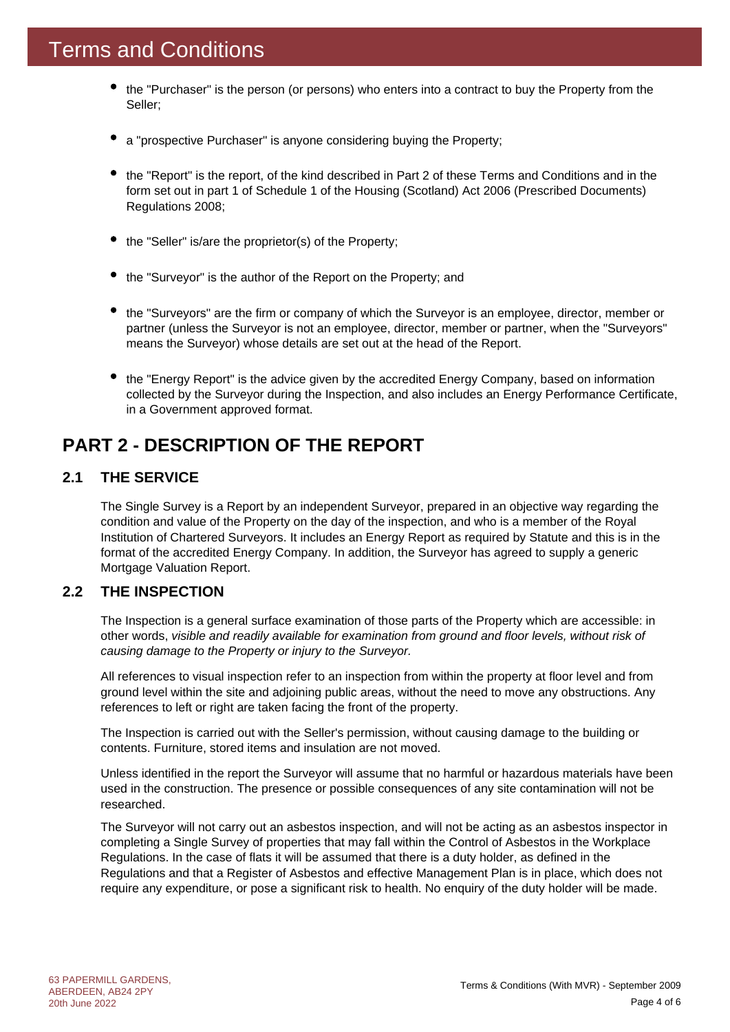- the "Purchaser" is the person (or persons) who enters into a contract to buy the Property from the Seller;
- a "prospective Purchaser" is anyone considering buying the Property;
- the "Report" is the report, of the kind described in Part 2 of these Terms and Conditions and in the form set out in part 1 of Schedule 1 of the Housing (Scotland) Act 2006 (Prescribed Documents) Regulations 2008;
- the "Seller" is/are the proprietor(s) of the Property;
- the "Surveyor" is the author of the Report on the Property; and
- the "Surveyors" are the firm or company of which the Surveyor is an employee, director, member or partner (unless the Surveyor is not an employee, director, member or partner, when the "Surveyors" means the Surveyor) whose details are set out at the head of the Report.
- the "Energy Report" is the advice given by the accredited Energy Company, based on information collected by the Surveyor during the Inspection, and also includes an Energy Performance Certificate, in a Government approved format.

### **PART 2 - DESCRIPTION OF THE REPORT**

### **2.1 THE SERVICE**

The Single Survey is a Report by an independent Surveyor, prepared in an objective way regarding the condition and value of the Property on the day of the inspection, and who is a member of the Royal Institution of Chartered Surveyors. It includes an Energy Report as required by Statute and this is in the format of the accredited Energy Company. In addition, the Surveyor has agreed to supply a generic Mortgage Valuation Report.

### **2.2 THE INSPECTION**

The Inspection is a general surface examination of those parts of the Property which are accessible: in other words, *visible and readily available for examination from ground and floor levels, without risk of causing damage to the Property or injury to the Surveyor.*

All references to visual inspection refer to an inspection from within the property at floor level and from ground level within the site and adjoining public areas, without the need to move any obstructions. Any references to left or right are taken facing the front of the property.

The Inspection is carried out with the Seller's permission, without causing damage to the building or contents. Furniture, stored items and insulation are not moved.

Unless identified in the report the Surveyor will assume that no harmful or hazardous materials have been used in the construction. The presence or possible consequences of any site contamination will not be researched.

The Surveyor will not carry out an asbestos inspection, and will not be acting as an asbestos inspector in completing a Single Survey of properties that may fall within the Control of Asbestos in the Workplace Regulations. In the case of flats it will be assumed that there is a duty holder, as defined in the Regulations and that a Register of Asbestos and effective Management Plan is in place, which does not require any expenditure, or pose a significant risk to health. No enquiry of the duty holder will be made.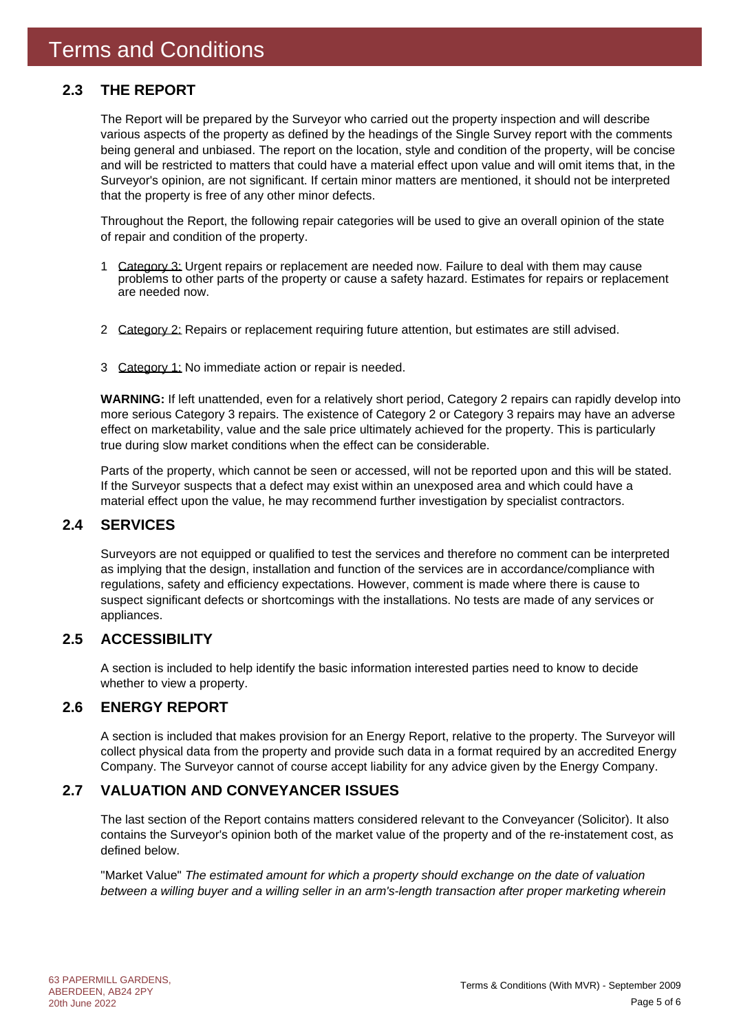### **2.3 THE REPORT**

The Report will be prepared by the Surveyor who carried out the property inspection and will describe various aspects of the property as defined by the headings of the Single Survey report with the comments being general and unbiased. The report on the location, style and condition of the property, will be concise and will be restricted to matters that could have a material effect upon value and will omit items that, in the Surveyor's opinion, are not significant. If certain minor matters are mentioned, it should not be interpreted that the property is free of any other minor defects.

Throughout the Report, the following repair categories will be used to give an overall opinion of the state of repair and condition of the property.

- 1 Category 3: Urgent repairs or replacement are needed now. Failure to deal with them may cause problems to other parts of the property or cause a safety hazard. Estimates for repairs or replacement are needed now.
- 2 Category 2: Repairs or replacement requiring future attention, but estimates are still advised.
- 3 Category 1: No immediate action or repair is needed.

**WARNING:** If left unattended, even for a relatively short period, Category 2 repairs can rapidly develop into more serious Category 3 repairs. The existence of Category 2 or Category 3 repairs may have an adverse effect on marketability, value and the sale price ultimately achieved for the property. This is particularly true during slow market conditions when the effect can be considerable.

Parts of the property, which cannot be seen or accessed, will not be reported upon and this will be stated. If the Surveyor suspects that a defect may exist within an unexposed area and which could have a material effect upon the value, he may recommend further investigation by specialist contractors.

### **2.4 SERVICES**

Surveyors are not equipped or qualified to test the services and therefore no comment can be interpreted as implying that the design, installation and function of the services are in accordance/compliance with regulations, safety and efficiency expectations. However, comment is made where there is cause to suspect significant defects or shortcomings with the installations. No tests are made of any services or appliances.

### **2.5 ACCESSIBILITY**

A section is included to help identify the basic information interested parties need to know to decide whether to view a property.

### **2.6 ENERGY REPORT**

A section is included that makes provision for an Energy Report, relative to the property. The Surveyor will collect physical data from the property and provide such data in a format required by an accredited Energy Company. The Surveyor cannot of course accept liability for any advice given by the Energy Company.

### **2.7 VALUATION AND CONVEYANCER ISSUES**

The last section of the Report contains matters considered relevant to the Conveyancer (Solicitor). It also contains the Surveyor's opinion both of the market value of the property and of the re-instatement cost, as defined below.

"Market Value" *The estimated amount for which a property should exchange on the date of valuation between a willing buyer and a willing seller in an arm's-length transaction after proper marketing wherein*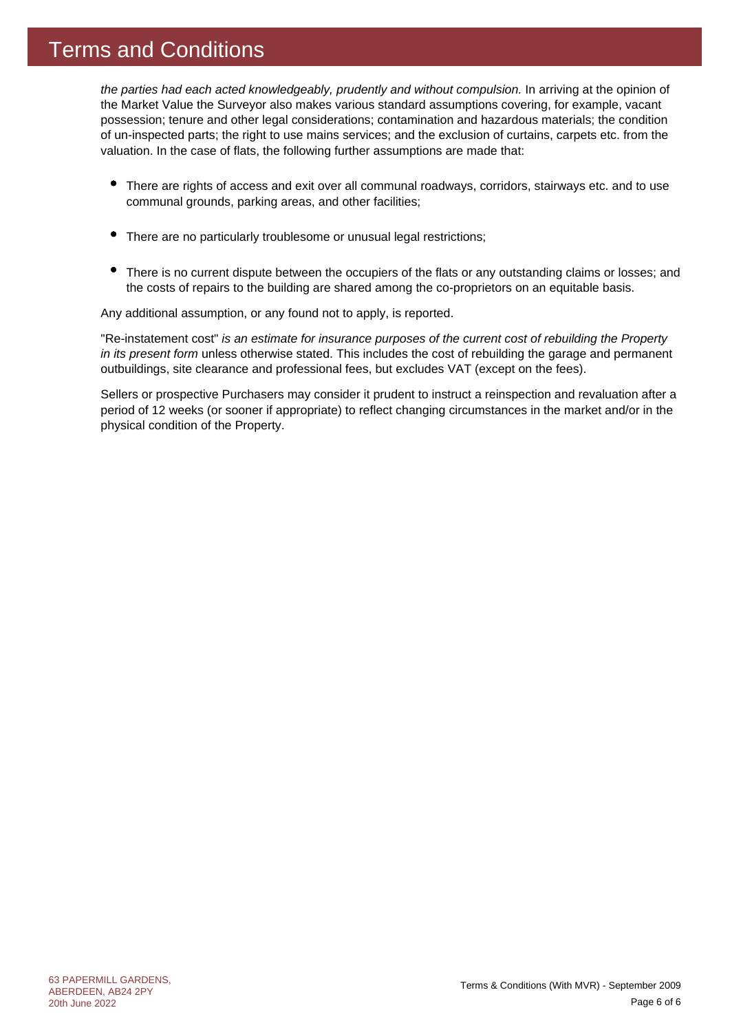### Terms and Conditions

*the parties had each acted knowledgeably, prudently and without compulsion.* In arriving at the opinion of the Market Value the Surveyor also makes various standard assumptions covering, for example, vacant possession; tenure and other legal considerations; contamination and hazardous materials; the condition of un-inspected parts; the right to use mains services; and the exclusion of curtains, carpets etc. from the valuation. In the case of flats, the following further assumptions are made that:

- There are rights of access and exit over all communal roadways, corridors, stairways etc. and to use communal grounds, parking areas, and other facilities;
- $\bullet$ There are no particularly troublesome or unusual legal restrictions;
- There is no current dispute between the occupiers of the flats or any outstanding claims or losses; and the costs of repairs to the building are shared among the co-proprietors on an equitable basis.

Any additional assumption, or any found not to apply, is reported.

"Re-instatement cost" *is an estimate for insurance purposes of the current cost of rebuilding the Property in its present form* unless otherwise stated. This includes the cost of rebuilding the garage and permanent outbuildings, site clearance and professional fees, but excludes VAT (except on the fees).

Sellers or prospective Purchasers may consider it prudent to instruct a reinspection and revaluation after a period of 12 weeks (or sooner if appropriate) to reflect changing circumstances in the market and/or in the physical condition of the Property.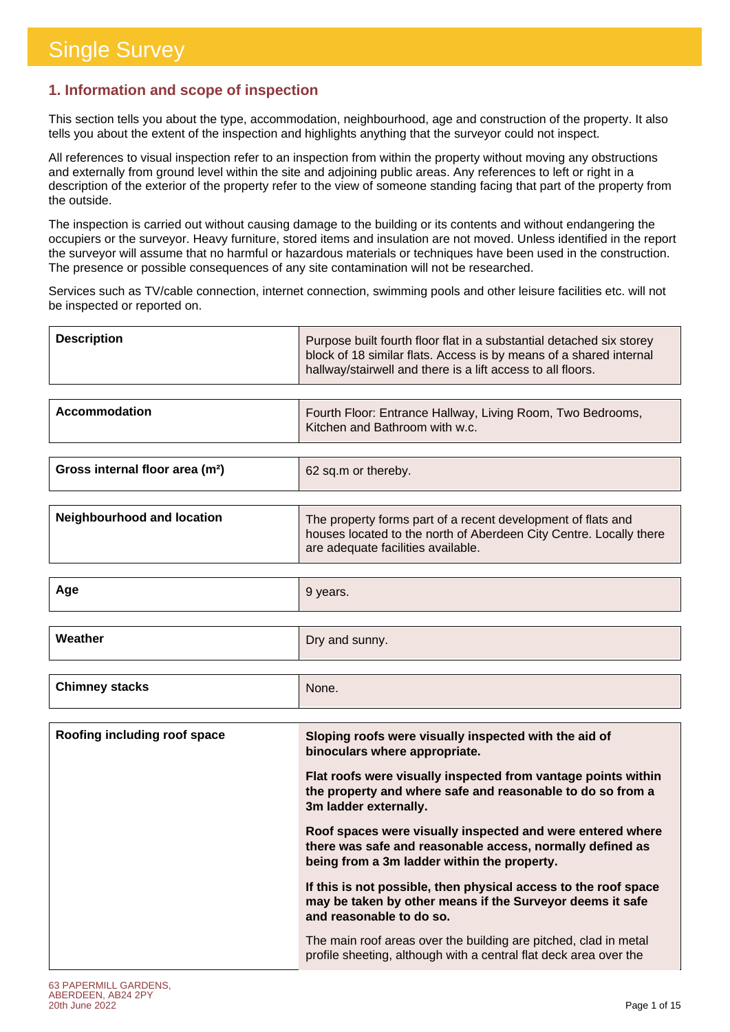### **1. Information and scope of inspection**

This section tells you about the type, accommodation, neighbourhood, age and construction of the property. It also tells you about the extent of the inspection and highlights anything that the surveyor could not inspect.

All references to visual inspection refer to an inspection from within the property without moving any obstructions and externally from ground level within the site and adjoining public areas. Any references to left or right in a description of the exterior of the property refer to the view of someone standing facing that part of the property from the outside.

The inspection is carried out without causing damage to the building or its contents and without endangering the occupiers or the surveyor. Heavy furniture, stored items and insulation are not moved. Unless identified in the report the surveyor will assume that no harmful or hazardous materials or techniques have been used in the construction. The presence or possible consequences of any site contamination will not be researched.

Services such as TV/cable connection, internet connection, swimming pools and other leisure facilities etc. will not be inspected or reported on.

| <b>Description</b> | Purpose built fourth floor flat in a substantial detached six storey<br>block of 18 similar flats. Access is by means of a shared internal<br>hallway/stairwell and there is a lift access to all floors. |
|--------------------|-----------------------------------------------------------------------------------------------------------------------------------------------------------------------------------------------------------|
|                    |                                                                                                                                                                                                           |

| Kitchen and Bathroom with w.c. | Accommodation | Fourth Floor: Entrance Hallway, Living Room, Two Bedrooms, |
|--------------------------------|---------------|------------------------------------------------------------|
|--------------------------------|---------------|------------------------------------------------------------|

| Gross internal floor area (m <sup>2</sup> ) | 62 sq.m or thereby. |
|---------------------------------------------|---------------------|
|                                             |                     |

| Neighbourhood and location | The property forms part of a recent development of flats and                                             |
|----------------------------|----------------------------------------------------------------------------------------------------------|
|                            | houses located to the north of Aberdeen City Centre. Locally there<br>are adequate facilities available. |

| Age     | 9 years.       |
|---------|----------------|
|         |                |
| Weather | Dry and sunny. |

| Roofing including roof space<br>Sloping roofs were visually inspected with the aid of<br>binoculars where appropriate.<br>Flat roofs were visually inspected from vantage points within | <b>Chimney stacks</b> | None.                                                      |
|-----------------------------------------------------------------------------------------------------------------------------------------------------------------------------------------|-----------------------|------------------------------------------------------------|
|                                                                                                                                                                                         |                       |                                                            |
|                                                                                                                                                                                         |                       |                                                            |
| 3m ladder externally.                                                                                                                                                                   |                       | the property and where safe and reasonable to do so from a |
| Roof spaces were visually inspected and were entered where<br>there was safe and reasonable access, normally defined as<br>being from a 3m ladder within the property.                  |                       |                                                            |
| If this is not possible, then physical access to the roof space<br>may be taken by other means if the Surveyor deems it safe<br>and reasonable to do so.                                |                       |                                                            |
| The main roof areas over the building are pitched, clad in metal<br>profile sheeting, although with a central flat deck area over the                                                   |                       |                                                            |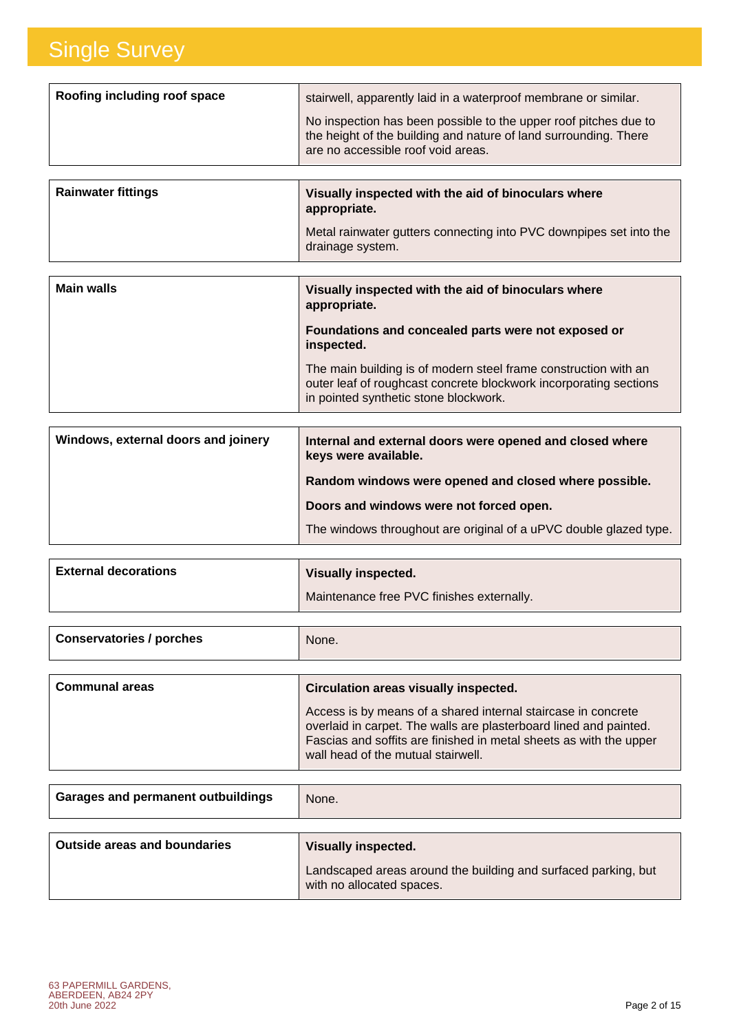| <b>Rainwater fittings</b>    | Visually inspected with the aid of binoculars where                                                                                                                        |
|------------------------------|----------------------------------------------------------------------------------------------------------------------------------------------------------------------------|
|                              | No inspection has been possible to the upper roof pitches due to<br>the height of the building and nature of land surrounding. There<br>are no accessible roof void areas. |
| Roofing including roof space | stairwell, apparently laid in a waterproof membrane or similar.                                                                                                            |

| namwalo mumiyo | <b>VISUALLY ILISPECTED WILLI LITE AID OF DILIOCUTAL S WITH E</b><br>appropriate.       |
|----------------|----------------------------------------------------------------------------------------|
|                | Metal rainwater gutters connecting into PVC downpipes set into the<br>drainage system. |

| <b>Main walls</b> | Visually inspected with the aid of binoculars where<br>appropriate.                                                                                                           |
|-------------------|-------------------------------------------------------------------------------------------------------------------------------------------------------------------------------|
|                   | Foundations and concealed parts were not exposed or<br>inspected.                                                                                                             |
|                   | The main building is of modern steel frame construction with an<br>outer leaf of roughcast concrete blockwork incorporating sections<br>in pointed synthetic stone blockwork. |

| Windows, external doors and joinery | Internal and external doors were opened and closed where<br>keys were available. |
|-------------------------------------|----------------------------------------------------------------------------------|
|                                     | Random windows were opened and closed where possible.                            |
|                                     | Doors and windows were not forced open.                                          |
|                                     | The windows throughout are original of a uPVC double glazed type.                |

| <b>External decorations</b> | Visually inspected.                       |
|-----------------------------|-------------------------------------------|
|                             | Maintenance free PVC finishes externally. |
|                             |                                           |

| <b>Conservatories / porches</b> | None.                                                                                                                                                                                                                                          |
|---------------------------------|------------------------------------------------------------------------------------------------------------------------------------------------------------------------------------------------------------------------------------------------|
|                                 |                                                                                                                                                                                                                                                |
| <b>Communal areas</b>           | Circulation areas visually inspected.                                                                                                                                                                                                          |
|                                 | Access is by means of a shared internal staircase in concrete<br>overlaid in carpet. The walls are plasterboard lined and painted.<br>Fascias and soffits are finished in metal sheets as with the upper<br>wall head of the mutual stairwell. |

| <b>Garages and permanent outbuildings</b> | None.                                                                                       |
|-------------------------------------------|---------------------------------------------------------------------------------------------|
| <b>Outside areas and boundaries</b>       | <b>Visually inspected.</b>                                                                  |
|                                           | Landscaped areas around the building and surfaced parking, but<br>with no allocated spaces. |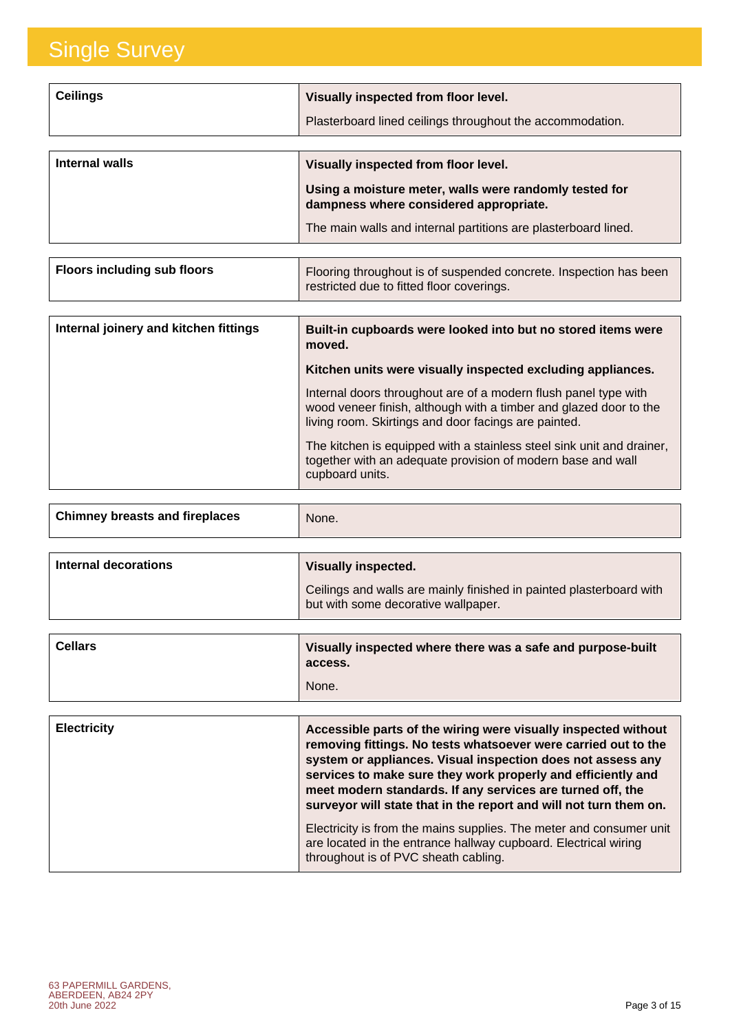| <b>Ceilings</b> | Visually inspected from floor level.<br>Plasterboard lined ceilings throughout the accommodation.                                                                                                          |
|-----------------|------------------------------------------------------------------------------------------------------------------------------------------------------------------------------------------------------------|
| Internal walls  | Visually inspected from floor level.<br>Using a moisture meter, walls were randomly tested for<br>dampness where considered appropriate.<br>The main walls and internal partitions are plasterboard lined. |

| <b>Floors including sub floors</b> | Flooring throughout is of suspended concrete. Inspection has been<br>restricted due to fitted floor coverings. |
|------------------------------------|----------------------------------------------------------------------------------------------------------------|
|                                    |                                                                                                                |

| Internal joinery and kitchen fittings | Built-in cupboards were looked into but no stored items were<br>moved.                                                                                                                       |
|---------------------------------------|----------------------------------------------------------------------------------------------------------------------------------------------------------------------------------------------|
|                                       | Kitchen units were visually inspected excluding appliances.                                                                                                                                  |
|                                       | Internal doors throughout are of a modern flush panel type with<br>wood veneer finish, although with a timber and glazed door to the<br>living room. Skirtings and door facings are painted. |
|                                       | The kitchen is equipped with a stainless steel sink unit and drainer,<br>together with an adequate provision of modern base and wall<br>cupboard units.                                      |

| <b>Chimney breasts and fireplaces</b> | None. |  |
|---------------------------------------|-------|--|
|                                       |       |  |

| Internal decorations | <b>Visually inspected.</b>                                                                                 |
|----------------------|------------------------------------------------------------------------------------------------------------|
|                      | Ceilings and walls are mainly finished in painted plasterboard with<br>but with some decorative wallpaper. |

| <b>Cellars</b>     | Visually inspected where there was a safe and purpose-built<br>access.<br>None.                                                                                                                                                                                                                                                                                                                    |
|--------------------|----------------------------------------------------------------------------------------------------------------------------------------------------------------------------------------------------------------------------------------------------------------------------------------------------------------------------------------------------------------------------------------------------|
|                    |                                                                                                                                                                                                                                                                                                                                                                                                    |
|                    |                                                                                                                                                                                                                                                                                                                                                                                                    |
| <b>Electricity</b> | Accessible parts of the wiring were visually inspected without<br>removing fittings. No tests whatsoever were carried out to the<br>system or appliances. Visual inspection does not assess any<br>services to make sure they work properly and efficiently and<br>meet modern standards. If any services are turned off, the<br>surveyor will state that in the report and will not turn them on. |
|                    | Electricity is from the mains supplies. The meter and consumer unit<br>are located in the entrance hallway cupboard. Electrical wiring<br>throughout is of PVC sheath cabling.                                                                                                                                                                                                                     |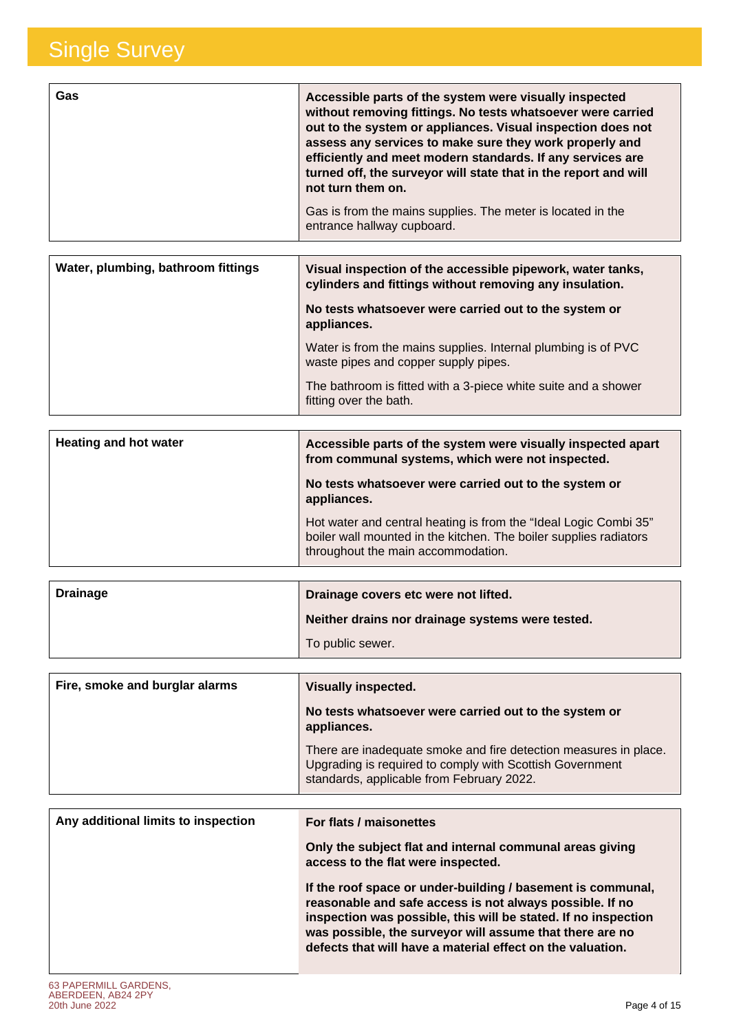| <b>Gas</b> | Accessible parts of the system were visually inspected<br>without removing fittings. No tests whatsoever were carried<br>out to the system or appliances. Visual inspection does not<br>assess any services to make sure they work properly and<br>efficiently and meet modern standards. If any services are<br>turned off, the surveyor will state that in the report and will<br>not turn them on. |
|------------|-------------------------------------------------------------------------------------------------------------------------------------------------------------------------------------------------------------------------------------------------------------------------------------------------------------------------------------------------------------------------------------------------------|
|            | Gas is from the mains supplies. The meter is located in the<br>entrance hallway cupboard.                                                                                                                                                                                                                                                                                                             |

| Water, plumbing, bathroom fittings | Visual inspection of the accessible pipework, water tanks,<br>cylinders and fittings without removing any insulation. |
|------------------------------------|-----------------------------------------------------------------------------------------------------------------------|
|                                    | No tests whatsoever were carried out to the system or<br>appliances.                                                  |
|                                    | Water is from the mains supplies. Internal plumbing is of PVC<br>waste pipes and copper supply pipes.                 |
|                                    | The bathroom is fitted with a 3-piece white suite and a shower<br>fitting over the bath.                              |

| <b>Heating and hot water</b> | Accessible parts of the system were visually inspected apart<br>from communal systems, which were not inspected.                                                            |
|------------------------------|-----------------------------------------------------------------------------------------------------------------------------------------------------------------------------|
|                              | No tests whatsoever were carried out to the system or<br>appliances.                                                                                                        |
|                              | Hot water and central heating is from the "Ideal Logic Combi 35"<br>boiler wall mounted in the kitchen. The boiler supplies radiators<br>throughout the main accommodation. |

| <b>Drainage</b> | Drainage covers etc were not lifted.             |
|-----------------|--------------------------------------------------|
|                 | Neither drains nor drainage systems were tested. |
|                 | To public sewer.                                 |
|                 |                                                  |

| Fire, smoke and burglar alarms | <b>Visually inspected.</b>                                                                                                                                                |
|--------------------------------|---------------------------------------------------------------------------------------------------------------------------------------------------------------------------|
|                                | No tests whatsoever were carried out to the system or<br>appliances.                                                                                                      |
|                                | There are inadequate smoke and fire detection measures in place.<br>Upgrading is required to comply with Scottish Government<br>standards, applicable from February 2022. |

| Any additional limits to inspection | For flats / maisonettes                                                                                                                                                                                                                                                                                             |
|-------------------------------------|---------------------------------------------------------------------------------------------------------------------------------------------------------------------------------------------------------------------------------------------------------------------------------------------------------------------|
|                                     | Only the subject flat and internal communal areas giving<br>access to the flat were inspected.                                                                                                                                                                                                                      |
|                                     | If the roof space or under-building / basement is communal,<br>reasonable and safe access is not always possible. If no<br>inspection was possible, this will be stated. If no inspection<br>was possible, the surveyor will assume that there are no<br>defects that will have a material effect on the valuation. |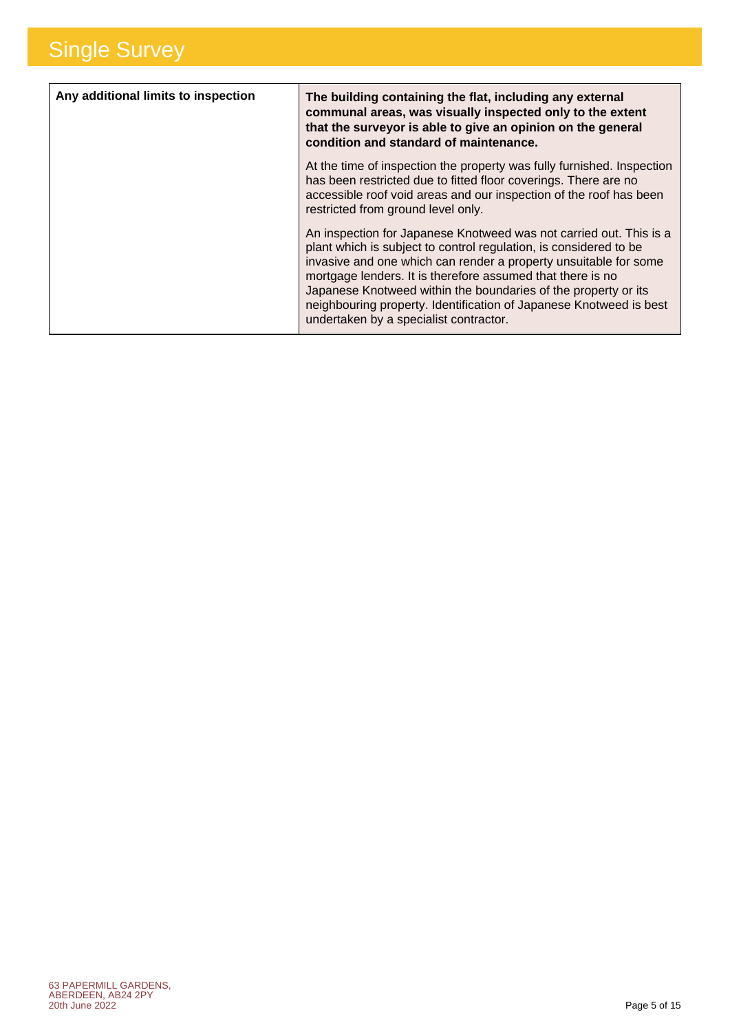| Any additional limits to inspection | The building containing the flat, including any external<br>communal areas, was visually inspected only to the extent<br>that the surveyor is able to give an opinion on the general<br>condition and standard of maintenance.                                                                                                                                                                                                                              |
|-------------------------------------|-------------------------------------------------------------------------------------------------------------------------------------------------------------------------------------------------------------------------------------------------------------------------------------------------------------------------------------------------------------------------------------------------------------------------------------------------------------|
|                                     | At the time of inspection the property was fully furnished. Inspection<br>has been restricted due to fitted floor coverings. There are no<br>accessible roof void areas and our inspection of the roof has been<br>restricted from ground level only.                                                                                                                                                                                                       |
|                                     | An inspection for Japanese Knotweed was not carried out. This is a<br>plant which is subject to control regulation, is considered to be<br>invasive and one which can render a property unsuitable for some<br>mortgage lenders. It is therefore assumed that there is no<br>Japanese Knotweed within the boundaries of the property or its<br>neighbouring property. Identification of Japanese Knotweed is best<br>undertaken by a specialist contractor. |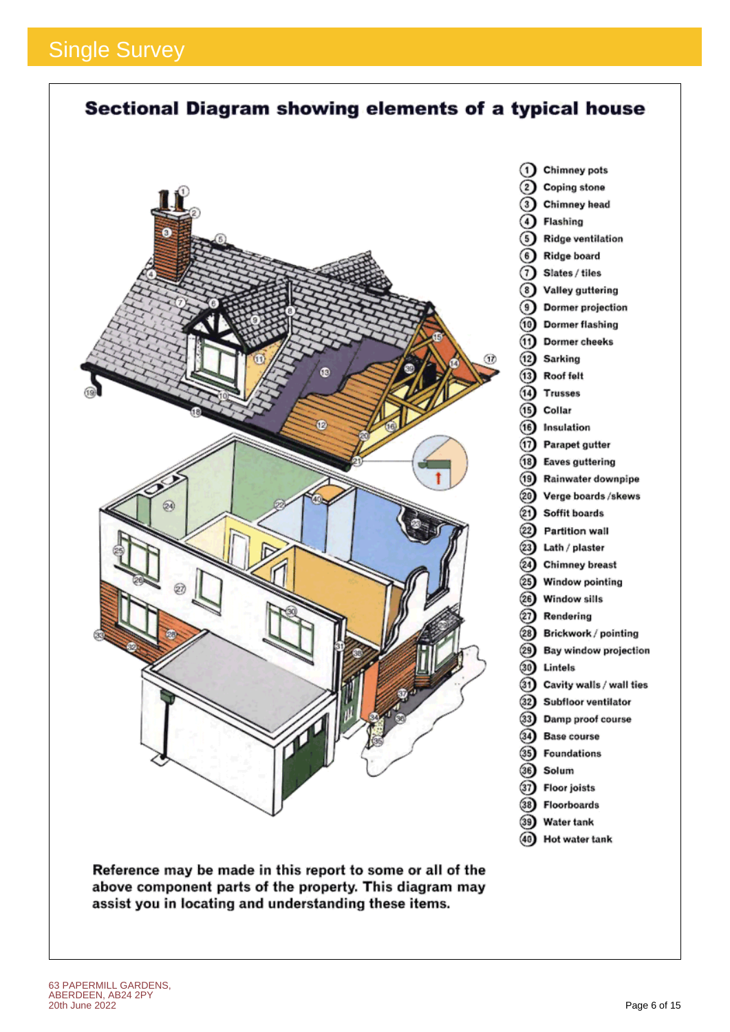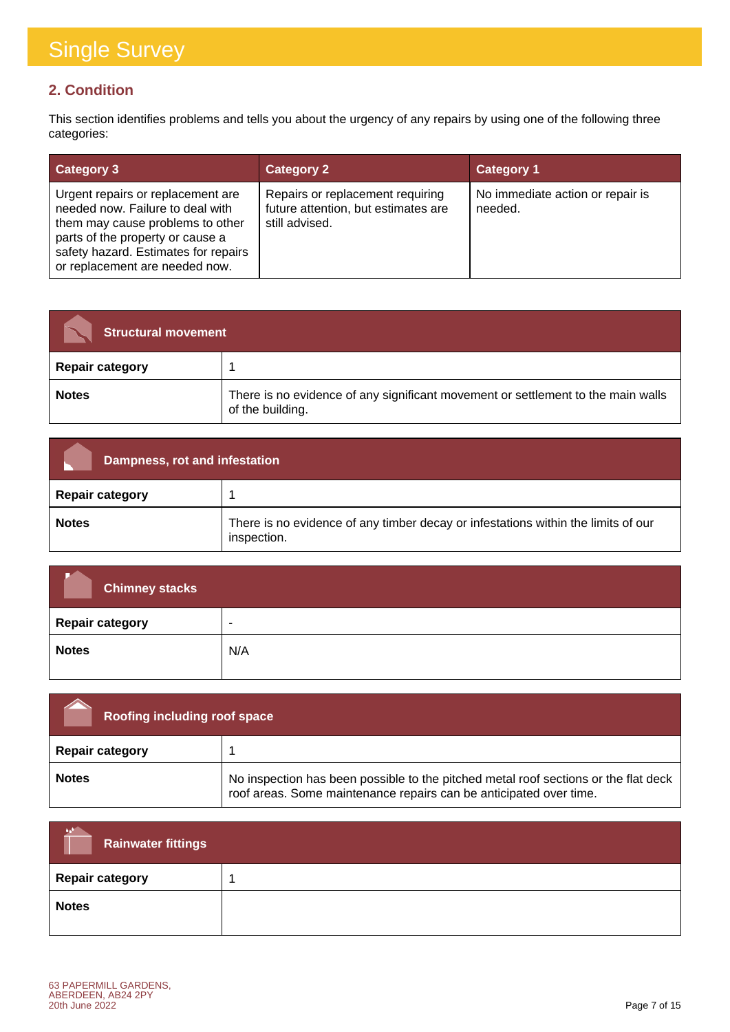### **2. Condition**

This section identifies problems and tells you about the urgency of any repairs by using one of the following three categories:

| <b>Category 3</b>                                                                                                                                                                                                       | <b>Category 2</b>                                                                         | <b>Category 1</b>                           |
|-------------------------------------------------------------------------------------------------------------------------------------------------------------------------------------------------------------------------|-------------------------------------------------------------------------------------------|---------------------------------------------|
| Urgent repairs or replacement are<br>needed now. Failure to deal with<br>them may cause problems to other<br>parts of the property or cause a<br>safety hazard. Estimates for repairs<br>or replacement are needed now. | Repairs or replacement requiring<br>future attention, but estimates are<br>still advised. | No immediate action or repair is<br>needed. |

| <b>Structural movement</b> |                                                                                                      |
|----------------------------|------------------------------------------------------------------------------------------------------|
| <b>Repair category</b>     |                                                                                                      |
| <b>Notes</b>               | There is no evidence of any significant movement or settlement to the main walls<br>of the building. |

| Dampness, rot and infestation |                                                                                                  |
|-------------------------------|--------------------------------------------------------------------------------------------------|
| <b>Repair category</b>        |                                                                                                  |
| <b>Notes</b>                  | There is no evidence of any timber decay or infestations within the limits of our<br>inspection. |

| <b>Chimney stacks</b>  |                          |
|------------------------|--------------------------|
| <b>Repair category</b> | $\overline{\phantom{a}}$ |
| <b>Notes</b>           | N/A                      |

| <b>Roofing including roof space</b> |                                                                                                                                                           |
|-------------------------------------|-----------------------------------------------------------------------------------------------------------------------------------------------------------|
| <b>Repair category</b>              |                                                                                                                                                           |
| <b>Notes</b>                        | No inspection has been possible to the pitched metal roof sections or the flat deck<br>roof areas. Some maintenance repairs can be anticipated over time. |

| A.<br><b>Rainwater fittings</b> |  |
|---------------------------------|--|
| <b>Repair category</b>          |  |
| <b>Notes</b>                    |  |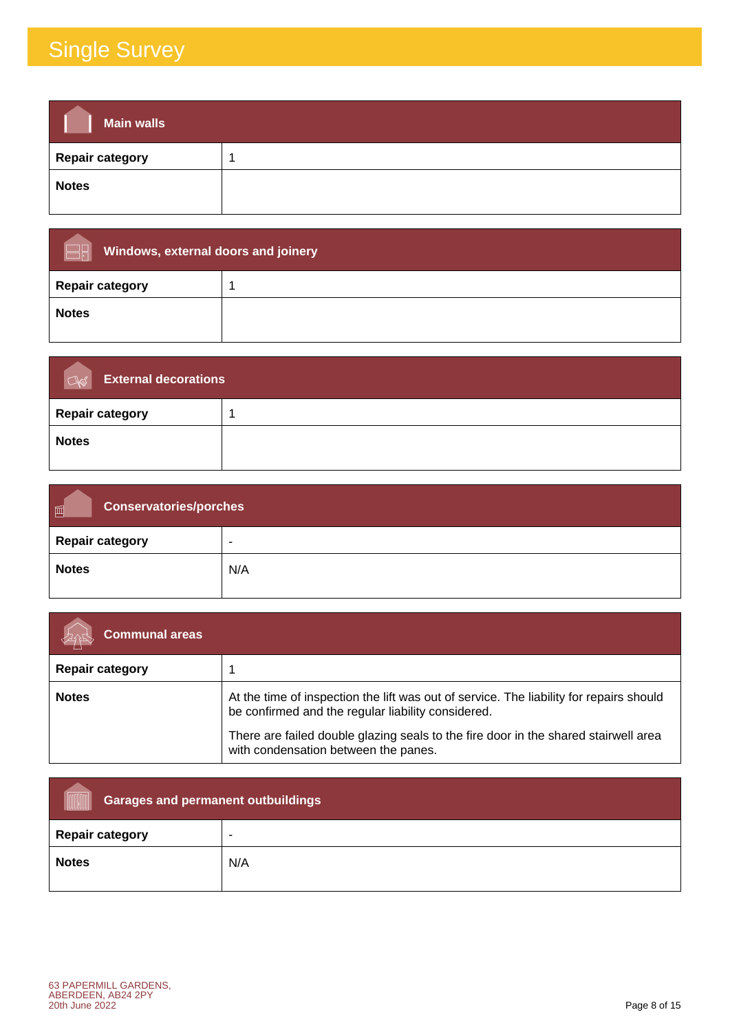| <b>Main walls</b>      |  |
|------------------------|--|
| <b>Repair category</b> |  |
| <b>Notes</b>           |  |

| Windows, external doors and joinery |  |
|-------------------------------------|--|
| <b>Repair category</b>              |  |
| <b>Notes</b>                        |  |

| <b>External decorations</b><br>$\sqrt{2}$ |  |
|-------------------------------------------|--|
| <b>Repair category</b>                    |  |
| <b>Notes</b>                              |  |

| <b>Conservatories/porches</b><br>画 |     |
|------------------------------------|-----|
| <b>Repair category</b>             | -   |
| <b>Notes</b>                       | N/A |

| <b>Communal areas</b>  |                                                                                                                                                                                                                                                                              |
|------------------------|------------------------------------------------------------------------------------------------------------------------------------------------------------------------------------------------------------------------------------------------------------------------------|
| <b>Repair category</b> |                                                                                                                                                                                                                                                                              |
| <b>Notes</b>           | At the time of inspection the lift was out of service. The liability for repairs should<br>be confirmed and the regular liability considered.<br>There are failed double glazing seals to the fire door in the shared stairwell area<br>with condensation between the panes. |

| <b>Garages and permanent outbuildings</b> |                          |
|-------------------------------------------|--------------------------|
| <b>Repair category</b>                    | $\overline{\phantom{a}}$ |
| <b>Notes</b>                              | N/A                      |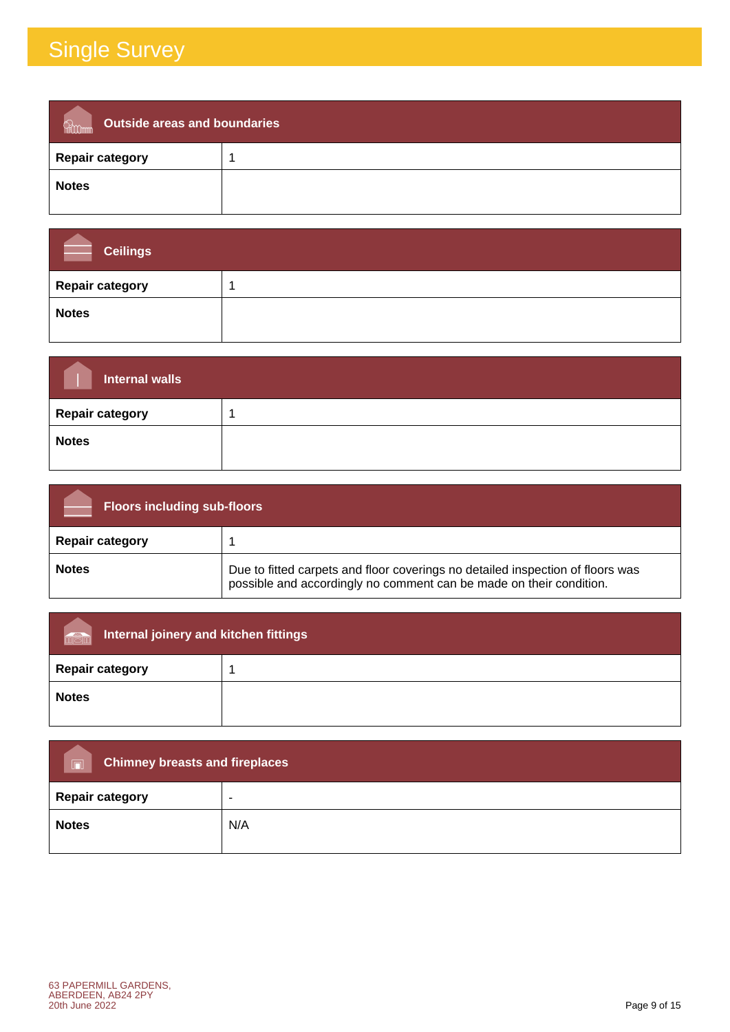| Outside areas and boundaries<br>Romm |  |
|--------------------------------------|--|
| <b>Repair category</b>               |  |
| <b>Notes</b>                         |  |

| <b>Ceilings</b>        |  |
|------------------------|--|
| <b>Repair category</b> |  |
| <b>Notes</b>           |  |

| <b>Internal walls</b>  |  |
|------------------------|--|
| <b>Repair category</b> |  |
| <b>Notes</b>           |  |

| <b>Floors including sub-floors</b> |                                                                                                                                                       |
|------------------------------------|-------------------------------------------------------------------------------------------------------------------------------------------------------|
| <b>Repair category</b>             |                                                                                                                                                       |
| <b>Notes</b>                       | Due to fitted carpets and floor coverings no detailed inspection of floors was<br>possible and accordingly no comment can be made on their condition. |

| Internal joinery and kitchen fittings<br>män |  |
|----------------------------------------------|--|
| <b>Repair category</b>                       |  |
| <b>Notes</b>                                 |  |

| <b>Chimney breasts and fireplaces</b><br>$\Box$ |     |
|-------------------------------------------------|-----|
| <b>Repair category</b>                          | -   |
| <b>Notes</b>                                    | N/A |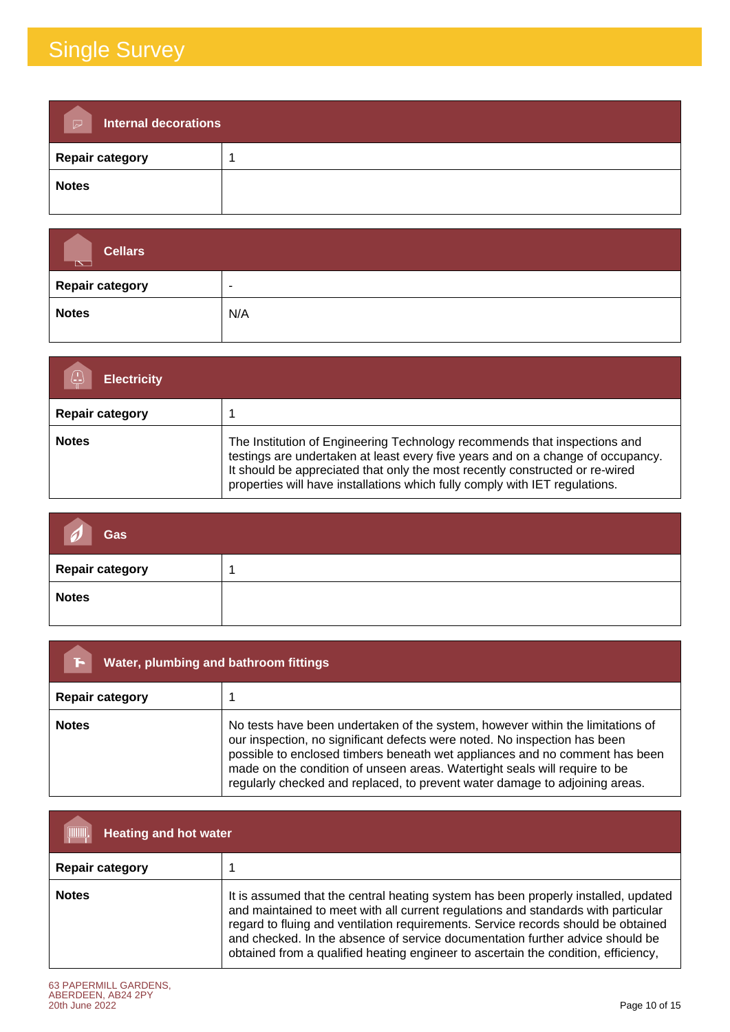| <b>Internal decorations</b><br>$\triangleright$ |  |
|-------------------------------------------------|--|
| <b>Repair category</b>                          |  |
| <b>Notes</b>                                    |  |

| <b>Cellars</b><br>$\overline{\mathbb{R}}$ |                          |
|-------------------------------------------|--------------------------|
| Repair category                           | $\overline{\phantom{0}}$ |
| <b>Notes</b>                              | N/A                      |

| <b>Electricity</b>     |                                                                                                                                                                                                                                                                                                                             |
|------------------------|-----------------------------------------------------------------------------------------------------------------------------------------------------------------------------------------------------------------------------------------------------------------------------------------------------------------------------|
| <b>Repair category</b> |                                                                                                                                                                                                                                                                                                                             |
| <b>Notes</b>           | The Institution of Engineering Technology recommends that inspections and<br>testings are undertaken at least every five years and on a change of occupancy.<br>It should be appreciated that only the most recently constructed or re-wired<br>properties will have installations which fully comply with IET regulations. |

| Gas<br>$\mathcal{D}$   |  |
|------------------------|--|
| <b>Repair category</b> |  |
| <b>Notes</b>           |  |

| Water, plumbing and bathroom fittings<br>בי |                                                                                                                                                                                                                                                                                                                                                                                                         |
|---------------------------------------------|---------------------------------------------------------------------------------------------------------------------------------------------------------------------------------------------------------------------------------------------------------------------------------------------------------------------------------------------------------------------------------------------------------|
| <b>Repair category</b>                      |                                                                                                                                                                                                                                                                                                                                                                                                         |
| <b>Notes</b>                                | No tests have been undertaken of the system, however within the limitations of<br>our inspection, no significant defects were noted. No inspection has been<br>possible to enclosed timbers beneath wet appliances and no comment has been<br>made on the condition of unseen areas. Watertight seals will require to be<br>regularly checked and replaced, to prevent water damage to adjoining areas. |

| [IIIIIII]<br><b>Heating and hot water</b> |                                                                                                                                                                                                                                                                                                                                                                                                                                     |  |
|-------------------------------------------|-------------------------------------------------------------------------------------------------------------------------------------------------------------------------------------------------------------------------------------------------------------------------------------------------------------------------------------------------------------------------------------------------------------------------------------|--|
| <b>Repair category</b>                    |                                                                                                                                                                                                                                                                                                                                                                                                                                     |  |
| <b>Notes</b>                              | It is assumed that the central heating system has been properly installed, updated<br>and maintained to meet with all current regulations and standards with particular<br>regard to fluing and ventilation requirements. Service records should be obtained<br>and checked. In the absence of service documentation further advice should be<br>obtained from a qualified heating engineer to ascertain the condition, efficiency, |  |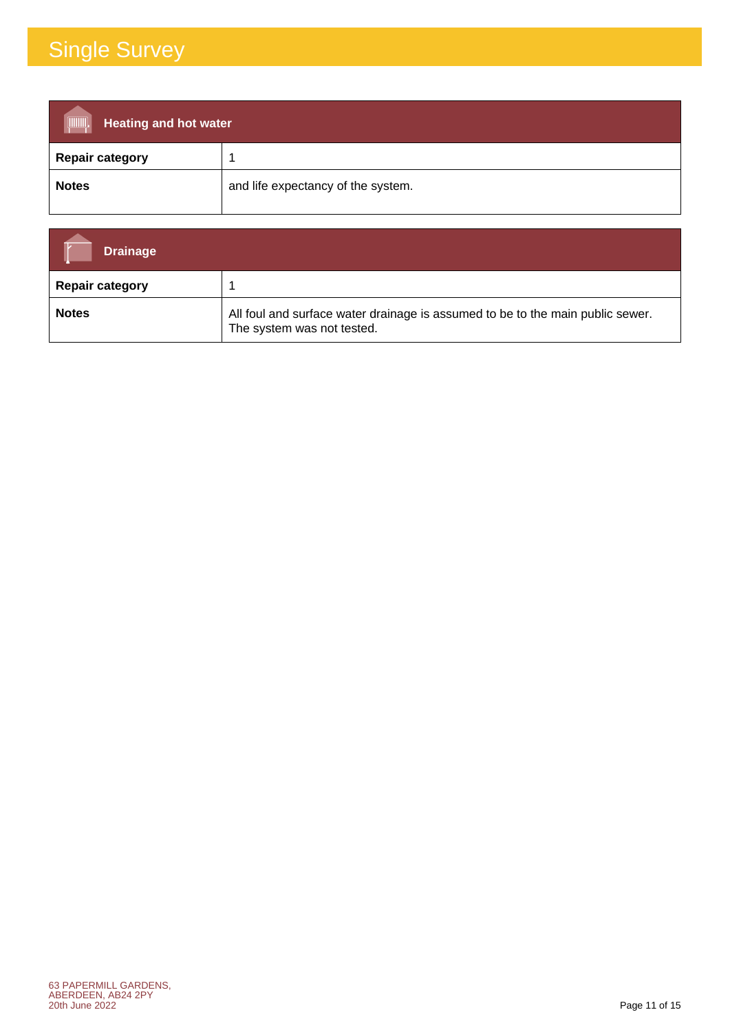| <b>THE CONSUMINAL</b><br><b>Heating and hot water</b> |                                    |  |
|-------------------------------------------------------|------------------------------------|--|
| <b>Repair category</b>                                |                                    |  |
| <b>Notes</b>                                          | and life expectancy of the system. |  |

| <b>Drainage</b>        |                                                                                                              |
|------------------------|--------------------------------------------------------------------------------------------------------------|
| <b>Repair category</b> |                                                                                                              |
| <b>Notes</b>           | All foul and surface water drainage is assumed to be to the main public sewer.<br>The system was not tested. |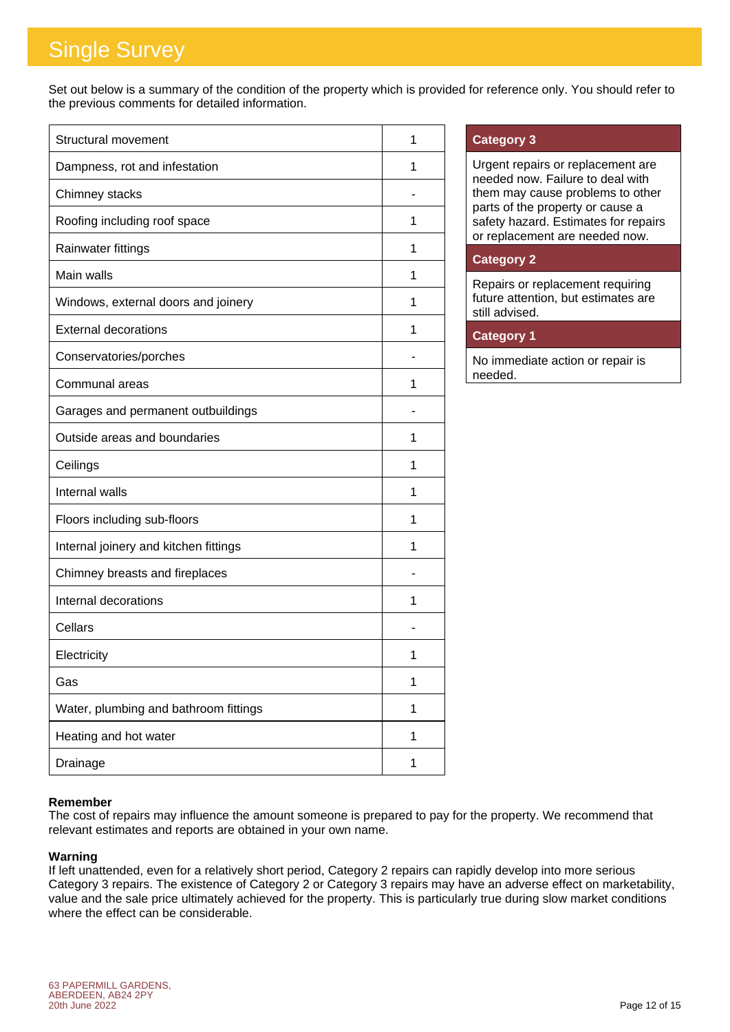Set out below is a summary of the condition of the property which is provided for reference only. You should refer to the previous comments for detailed information.

| Structural movement                   | 1 |
|---------------------------------------|---|
| Dampness, rot and infestation         | 1 |
| Chimney stacks                        |   |
| Roofing including roof space          | 1 |
| Rainwater fittings                    | 1 |
| Main walls                            | 1 |
| Windows, external doors and joinery   | 1 |
| <b>External decorations</b>           | 1 |
| Conservatories/porches                |   |
| Communal areas                        | 1 |
| Garages and permanent outbuildings    |   |
| Outside areas and boundaries          | 1 |
| Ceilings                              | 1 |
| Internal walls                        | 1 |
| Floors including sub-floors           | 1 |
| Internal joinery and kitchen fittings | 1 |
| Chimney breasts and fireplaces        |   |
| Internal decorations                  | 1 |
| Cellars                               |   |
| Electricity                           | 1 |
| Gas                                   | 1 |
| Water, plumbing and bathroom fittings | 1 |
| Heating and hot water                 | 1 |
| Drainage                              | 1 |

### **Category 3**

Urgent repairs or replacement are needed now. Failure to deal with them may cause problems to other parts of the property or cause a safety hazard. Estimates for repairs or replacement are needed now.

### **Category 2**

Repairs or replacement requiring future attention, but estimates are still advised.

### **Category 1**

No immediate action or repair is needed.

### **Remember**

The cost of repairs may influence the amount someone is prepared to pay for the property. We recommend that relevant estimates and reports are obtained in your own name.

### **Warning**

If left unattended, even for a relatively short period, Category 2 repairs can rapidly develop into more serious Category 3 repairs. The existence of Category 2 or Category 3 repairs may have an adverse effect on marketability, value and the sale price ultimately achieved for the property. This is particularly true during slow market conditions where the effect can be considerable.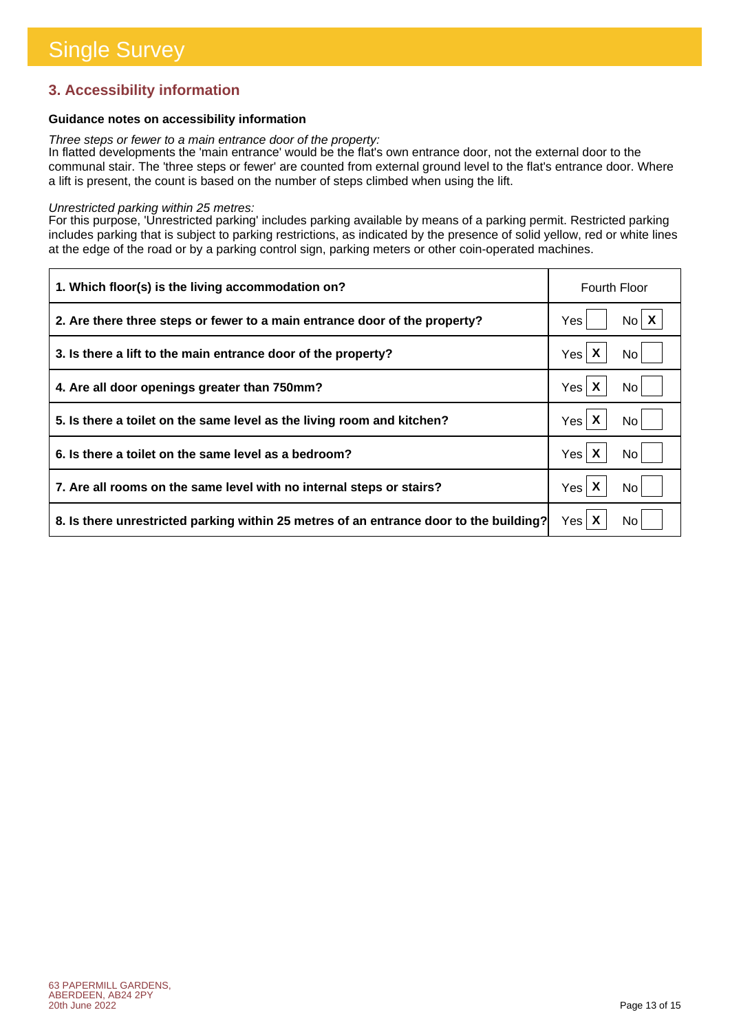### **3. Accessibility information**

### **Guidance notes on accessibility information**

*Three steps or fewer to a main entrance door of the property:*

In flatted developments the 'main entrance' would be the flat's own entrance door, not the external door to the communal stair. The 'three steps or fewer' are counted from external ground level to the flat's entrance door. Where a lift is present, the count is based on the number of steps climbed when using the lift.

#### *Unrestricted parking within 25 metres:*

For this purpose, 'Unrestricted parking' includes parking available by means of a parking permit. Restricted parking includes parking that is subject to parking restrictions, as indicated by the presence of solid yellow, red or white lines at the edge of the road or by a parking control sign, parking meters or other coin-operated machines.

| 1. Which floor(s) is the living accommodation on?                                      | <b>Fourth Floor</b>      |
|----------------------------------------------------------------------------------------|--------------------------|
| 2. Are there three steps or fewer to a main entrance door of the property?             | $N_0$ $X$<br>Yes         |
| 3. Is there a lift to the main entrance door of the property?                          | Yes $\mathsf{X}$<br>No.  |
| 4. Are all door openings greater than 750mm?                                           | Yes X<br>No.             |
| 5. Is there a toilet on the same level as the living room and kitchen?                 | Yes $\mathsf{X}$<br>No l |
| 6. Is there a toilet on the same level as a bedroom?                                   | Yes X<br>No.             |
| 7. Are all rooms on the same level with no internal steps or stairs?                   | Yes $\mathsf{X}$<br>No   |
| 8. Is there unrestricted parking within 25 metres of an entrance door to the building? | Yes $\mathsf{X}$<br>No.  |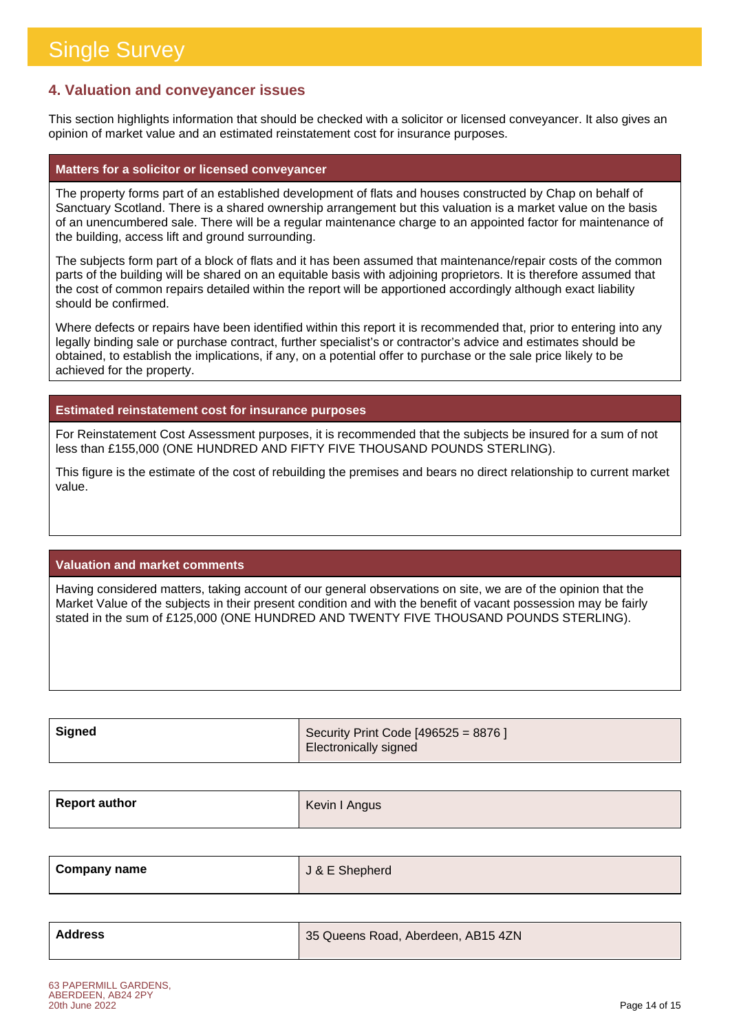### **4. Valuation and conveyancer issues**

This section highlights information that should be checked with a solicitor or licensed conveyancer. It also gives an opinion of market value and an estimated reinstatement cost for insurance purposes.

#### **Matters for a solicitor or licensed conveyancer**

The property forms part of an established development of flats and houses constructed by Chap on behalf of Sanctuary Scotland. There is a shared ownership arrangement but this valuation is a market value on the basis of an unencumbered sale. There will be a regular maintenance charge to an appointed factor for maintenance of the building, access lift and ground surrounding.

The subjects form part of a block of flats and it has been assumed that maintenance/repair costs of the common parts of the building will be shared on an equitable basis with adjoining proprietors. It is therefore assumed that the cost of common repairs detailed within the report will be apportioned accordingly although exact liability should be confirmed.

Where defects or repairs have been identified within this report it is recommended that, prior to entering into any legally binding sale or purchase contract, further specialist's or contractor's advice and estimates should be obtained, to establish the implications, if any, on a potential offer to purchase or the sale price likely to be achieved for the property.

**Estimated reinstatement cost for insurance purposes**

For Reinstatement Cost Assessment purposes, it is recommended that the subjects be insured for a sum of not less than £155,000 (ONE HUNDRED AND FIFTY FIVE THOUSAND POUNDS STERLING).

This figure is the estimate of the cost of rebuilding the premises and bears no direct relationship to current market value.

### **Valuation and market comments**

Having considered matters, taking account of our general observations on site, we are of the opinion that the Market Value of the subjects in their present condition and with the benefit of vacant possession may be fairly stated in the sum of £125,000 (ONE HUNDRED AND TWENTY FIVE THOUSAND POUNDS STERLING).

| <b>Signed</b> | Security Print Code [496525 = 8876 ] |
|---------------|--------------------------------------|
|               | Electronically signed                |

| <b>Report author</b> | Kevin I Angus |
|----------------------|---------------|
|                      |               |

| <b>Company name</b> | J & E Shepherd |
|---------------------|----------------|
|---------------------|----------------|

| Address | 35 Queens Road, Aberdeen, AB15 4ZN |
|---------|------------------------------------|
|         |                                    |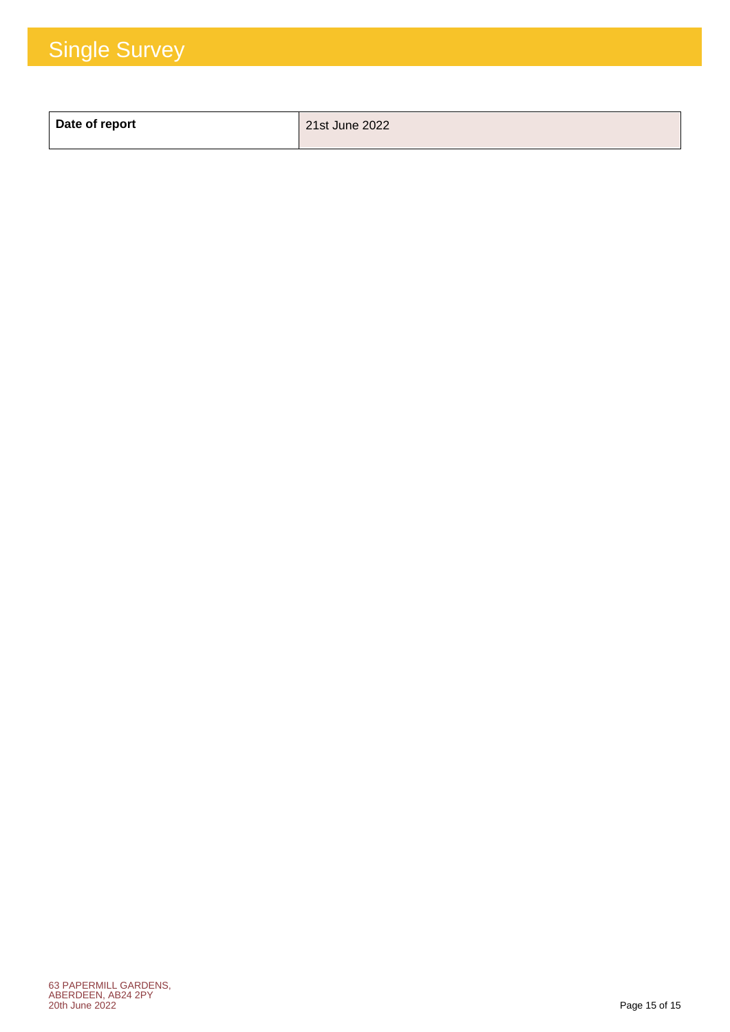| Date of report | 21st June 2022 |
|----------------|----------------|
|                |                |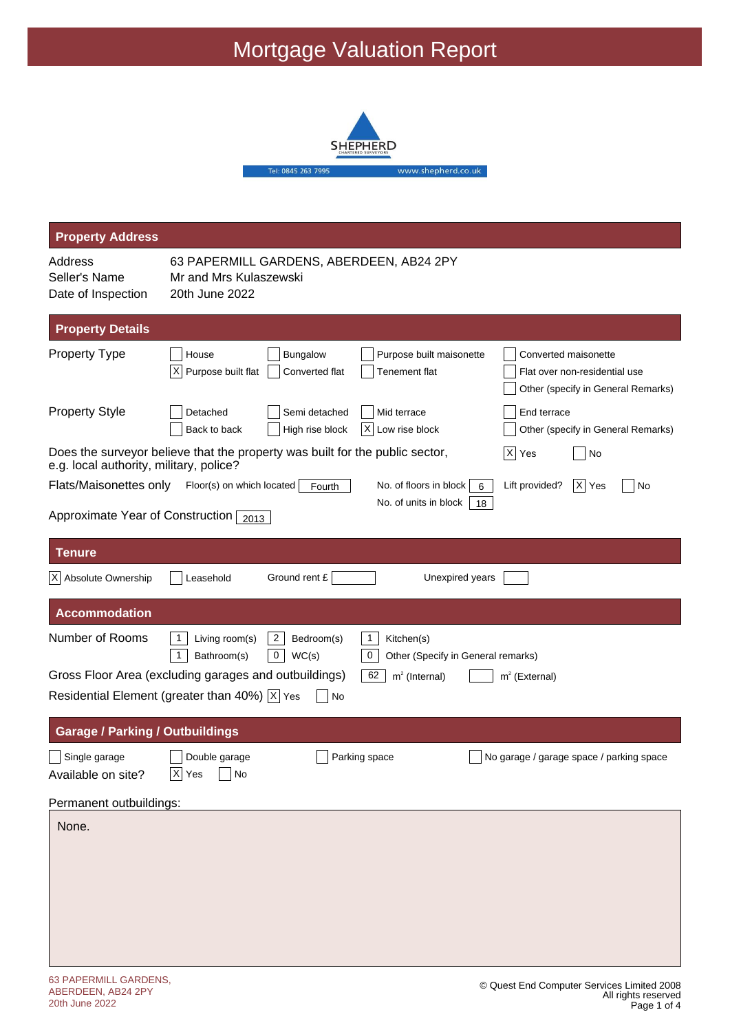## Mortgage Valuation Report



| <b>Property Address</b>                                           |                                                                                                                                                                                                            |  |  |
|-------------------------------------------------------------------|------------------------------------------------------------------------------------------------------------------------------------------------------------------------------------------------------------|--|--|
| Address<br>Seller's Name<br>Date of Inspection                    | 63 PAPERMILL GARDENS, ABERDEEN, AB24 2PY<br>Mr and Mrs Kulaszewski<br>20th June 2022                                                                                                                       |  |  |
| <b>Property Details</b>                                           |                                                                                                                                                                                                            |  |  |
| Property Type                                                     | Bungalow<br>House<br>Purpose built maisonette<br>Converted maisonette<br>X<br>Purpose built flat<br>Converted flat<br>Tenement flat<br>Flat over non-residential use<br>Other (specify in General Remarks) |  |  |
| <b>Property Style</b>                                             | End terrace<br>Detached<br>Semi detached<br>Mid terrace<br>Back to back<br>High rise block<br>IX.<br>Low rise block<br>Other (specify in General Remarks)                                                  |  |  |
| e.g. local authority, military, police?                           | Does the surveyor believe that the property was built for the public sector,<br>$ X $ Yes<br>No                                                                                                            |  |  |
| Flats/Maisonettes only                                            | $ X $ Yes<br>Floor(s) on which located<br>No. of floors in block<br>Lift provided?<br>No<br>Fourth<br>6<br>No. of units in block<br>18                                                                     |  |  |
| Approximate Year of Construction $\sqrt{2013}$                    |                                                                                                                                                                                                            |  |  |
| <b>Tenure</b>                                                     |                                                                                                                                                                                                            |  |  |
| X Absolute Ownership                                              | Ground rent £<br>Unexpired years<br>Leasehold                                                                                                                                                              |  |  |
| <b>Accommodation</b>                                              |                                                                                                                                                                                                            |  |  |
| Number of Rooms                                                   | $\overline{2}$<br>$\mathbf{1}$<br>-1<br>Living room(s)<br>Bedroom(s)<br>Kitchen(s)<br>0<br>$\pmb{0}$<br>WC(s)<br>1<br>Bathroom(s)<br>Other (Specify in General remarks)                                    |  |  |
|                                                                   | Gross Floor Area (excluding garages and outbuildings)<br>62<br>$m2$ (Internal)<br>$m2$ (External)                                                                                                          |  |  |
| Residential Element (greater than 40%) $ \overline{x} $ Yes<br>No |                                                                                                                                                                                                            |  |  |
| <b>Garage / Parking / Outbuildings</b>                            |                                                                                                                                                                                                            |  |  |
| Single garage<br>Available on site?                               | Double garage<br>Parking space<br>No garage / garage space / parking space<br>$ \overline{X} $ Yes<br>No                                                                                                   |  |  |
| Permanent outbuildings:                                           |                                                                                                                                                                                                            |  |  |
| None.                                                             |                                                                                                                                                                                                            |  |  |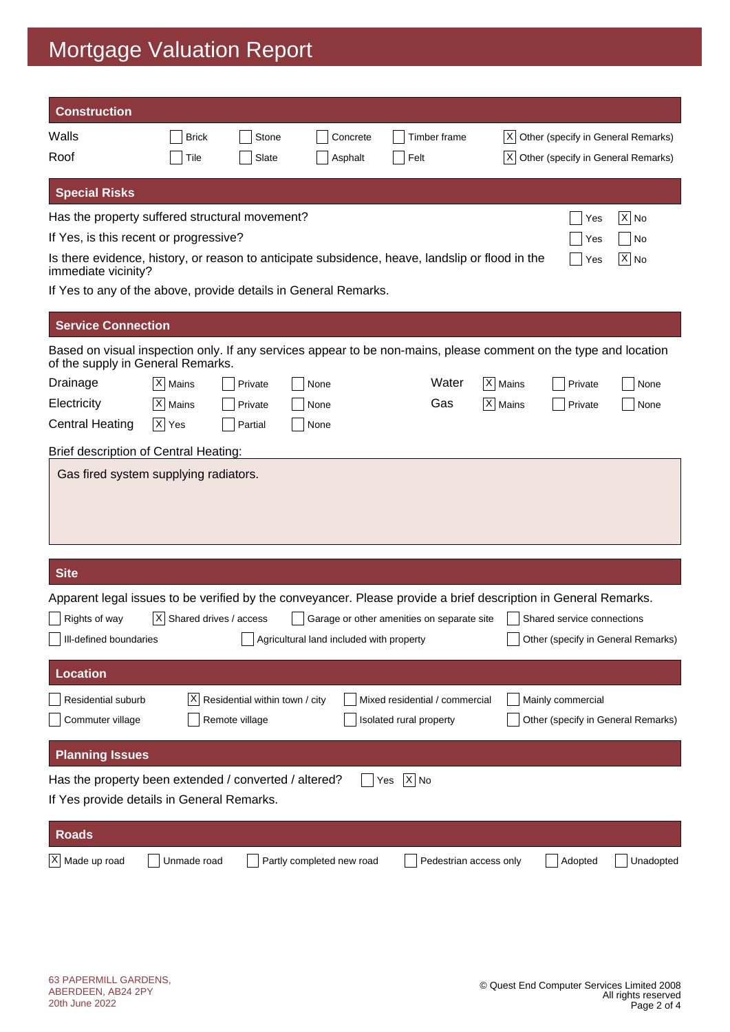# Mortgage Valuation Report

| <b>Construction</b>                                                                                                                                   |                              |                                                  |                                          |                                                           |           |                                                         |           |
|-------------------------------------------------------------------------------------------------------------------------------------------------------|------------------------------|--------------------------------------------------|------------------------------------------|-----------------------------------------------------------|-----------|---------------------------------------------------------|-----------|
| Walls                                                                                                                                                 | <b>Brick</b>                 | Stone                                            | Concrete                                 | Timber frame                                              |           | X  Other (specify in General Remarks)                   |           |
| Roof                                                                                                                                                  | Tile                         | Slate                                            | Asphalt                                  | Felt                                                      | ΙXΙ       | Other (specify in General Remarks)                      |           |
| <b>Special Risks</b>                                                                                                                                  |                              |                                                  |                                          |                                                           |           |                                                         |           |
| Has the property suffered structural movement?                                                                                                        |                              |                                                  |                                          |                                                           |           | Yes                                                     | $X $ No   |
| If Yes, is this recent or progressive?                                                                                                                |                              |                                                  |                                          |                                                           |           | Yes                                                     | No        |
| Is there evidence, history, or reason to anticipate subsidence, heave, landslip or flood in the<br>immediate vicinity?                                |                              |                                                  |                                          |                                                           |           | Yes                                                     | X  No     |
| If Yes to any of the above, provide details in General Remarks.                                                                                       |                              |                                                  |                                          |                                                           |           |                                                         |           |
| <b>Service Connection</b>                                                                                                                             |                              |                                                  |                                          |                                                           |           |                                                         |           |
| Based on visual inspection only. If any services appear to be non-mains, please comment on the type and location<br>of the supply in General Remarks. |                              |                                                  |                                          |                                                           |           |                                                         |           |
| Drainage                                                                                                                                              | $ X $ Mains                  | Private                                          | None                                     | Water                                                     | X   Mains | Private                                                 | None      |
| Electricity                                                                                                                                           | X Mains                      | Private                                          | None                                     | Gas                                                       | $X$ Mains | Private                                                 | None      |
| <b>Central Heating</b>                                                                                                                                | $ X $ Yes                    | Partial                                          | None                                     |                                                           |           |                                                         |           |
| Brief description of Central Heating:                                                                                                                 |                              |                                                  |                                          |                                                           |           |                                                         |           |
|                                                                                                                                                       |                              |                                                  |                                          |                                                           |           |                                                         |           |
| <b>Site</b>                                                                                                                                           |                              |                                                  |                                          |                                                           |           |                                                         |           |
| Apparent legal issues to be verified by the conveyancer. Please provide a brief description in General Remarks.                                       |                              |                                                  |                                          |                                                           |           |                                                         |           |
| Rights of way                                                                                                                                         | $ X $ Shared drives / access |                                                  |                                          | Garage or other amenities on separate site                |           | Shared service connections                              |           |
| III-defined boundaries                                                                                                                                |                              |                                                  | Agricultural land included with property |                                                           |           | Other (specify in General Remarks)                      |           |
| <b>Location</b>                                                                                                                                       |                              |                                                  |                                          |                                                           |           |                                                         |           |
| Residential suburb<br>Commuter village                                                                                                                | IXI                          | Residential within town / city<br>Remote village |                                          | Mixed residential / commercial<br>Isolated rural property |           | Mainly commercial<br>Other (specify in General Remarks) |           |
| <b>Planning Issues</b>                                                                                                                                |                              |                                                  |                                          |                                                           |           |                                                         |           |
| Has the property been extended / converted / altered?<br>If Yes provide details in General Remarks.                                                   |                              |                                                  |                                          | $ X $ No<br>Yes                                           |           |                                                         |           |
| <b>Roads</b>                                                                                                                                          |                              |                                                  |                                          |                                                           |           |                                                         |           |
| X Made up road                                                                                                                                        | Unmade road                  |                                                  | Partly completed new road                | Pedestrian access only                                    |           | Adopted                                                 | Unadopted |
|                                                                                                                                                       |                              |                                                  |                                          |                                                           |           |                                                         |           |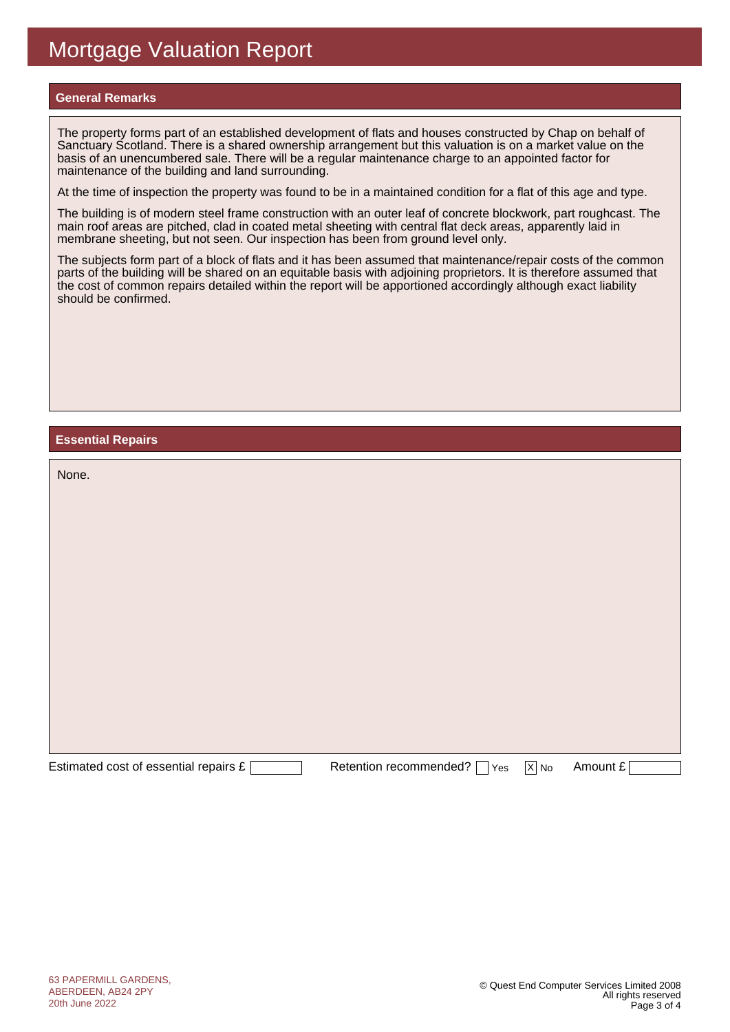### **General Remarks**

The property forms part of an established development of flats and houses constructed by Chap on behalf of Sanctuary Scotland. There is a shared ownership arrangement but this valuation is on a market value on the basis of an unencumbered sale. There will be a regular maintenance charge to an appointed factor for maintenance of the building and land surrounding.

At the time of inspection the property was found to be in a maintained condition for a flat of this age and type.

The building is of modern steel frame construction with an outer leaf of concrete blockwork, part roughcast. The main roof areas are pitched, clad in coated metal sheeting with central flat deck areas, apparently laid in membrane sheeting, but not seen. Our inspection has been from ground level only.

The subjects form part of a block of flats and it has been assumed that maintenance/repair costs of the common parts of the building will be shared on an equitable basis with adjoining proprietors. It is therefore assumed that the cost of common repairs detailed within the report will be apportioned accordingly although exact liability should be confirmed.

#### **Essential Repairs**

| None.                                 |                               |                   |          |
|---------------------------------------|-------------------------------|-------------------|----------|
|                                       |                               |                   |          |
|                                       |                               |                   |          |
|                                       |                               |                   |          |
|                                       |                               |                   |          |
|                                       |                               |                   |          |
|                                       |                               |                   |          |
|                                       |                               |                   |          |
| Estimated cost of essential repairs £ | Retention recommended?<br>Yes | $\overline{X}$ No | Amount £ |